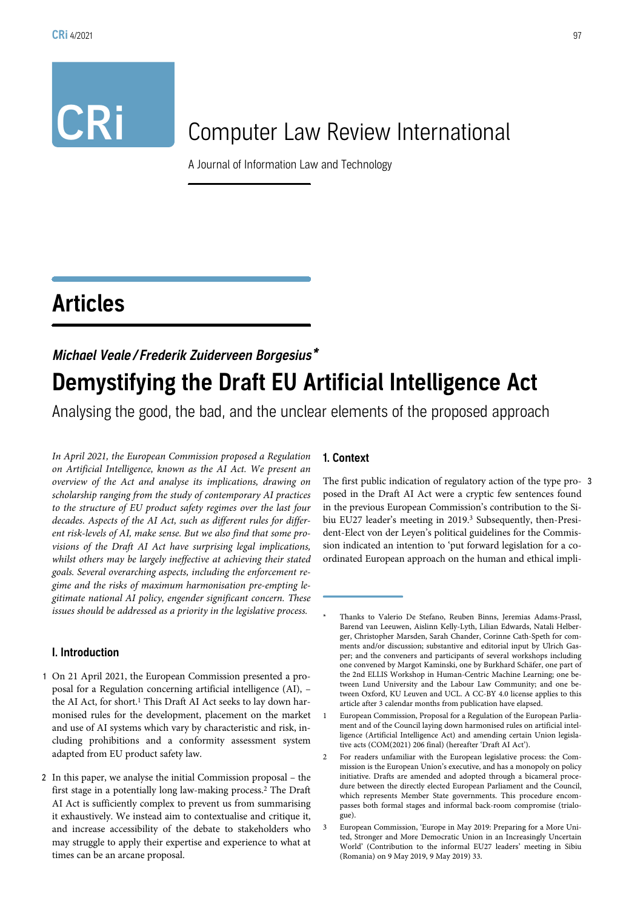# CRI Computer Law Review International

A Journal of Information Law and Technology

# Articles

# Michael Veale / Frederik Zuiderveen Borgesius\* Demystifying the Draft EU Artificial Intelligence Act

Analysing the good, the bad, and the unclear elements of the proposed approach

In April 2021, the European Commission proposed a Regulation on Artificial Intelligence, known as the AI Act. We present an overview of the Act and analyse its implications, drawing on scholarship ranging from the study of contemporary AI practices to the structure of EU product safety regimes over the last four decades. Aspects of the AI Act, such as different rules for different risk-levels of AI, make sense. But we also find that some provisions of the Draft AI Act have surprising legal implications, whilst others may be largely ineffective at achieving their stated goals. Several overarching aspects, including the enforcement regime and the risks of maximum harmonisation pre-empting legitimate national AI policy, engender significant concern. These issues should be addressed as a priority in the legislative process.

#### I. Introduction

- 1 On 21 April 2021, the European Commission presented a proposal for a Regulation concerning artificial intelligence (AI), – the AI Act, for short.<sup>1</sup> This Draft AI Act seeks to lay down harmonised rules for the development, placement on the market and use of AI systems which vary by characteristic and risk, including prohibitions and a conformity assessment system adapted from EU product safety law.
- 2 In this paper, we analyse the initial Commission proposal the first stage in a potentially long law-making process.2 The Draft AI Act is sufficiently complex to prevent us from summarising it exhaustively. We instead aim to contextualise and critique it, and increase accessibility of the debate to stakeholders who may struggle to apply their expertise and experience to what at times can be an arcane proposal.

# 1. Context

The first public indication of regulatory action of the type pro- 3 posed in the Draft AI Act were a cryptic few sentences found in the previous European Commission's contribution to the Sibiu EU27 leader's meeting in 2019.<sup>3</sup> Subsequently, then-President-Elect von der Leyen's political guidelines for the Commission indicated an intention to 'put forward legislation for a coordinated European approach on the human and ethical impli-

Thanks to Valerio De Stefano, Reuben Binns, Jeremias Adams-Prassl, Barend van Leeuwen, Aislinn Kelly-Lyth, Lilian Edwards, Natali Helberger, Christopher Marsden, Sarah Chander, Corinne Cath-Speth for comments and/or discussion; substantive and editorial input by Ulrich Gasper; and the conveners and participants of several workshops including one convened by Margot Kaminski, one by Burkhard Schäfer, one part of the 2nd ELLIS Workshop in Human-Centric Machine Learning; one between Lund University and the Labour Law Community; and one between Oxford, KU Leuven and UCL. A CC-BY 4.0 license applies to this article after 3 calendar months from publication have elapsed.

<sup>1</sup> European Commission, Proposal for a Regulation of the European Parliament and of the Council laying down harmonised rules on artificial intelligence (Artificial Intelligence Act) and amending certain Union legislative acts (COM(2021) 206 final) (hereafter 'Draft AI Act').

<sup>2</sup> For readers unfamiliar with the European legislative process: the Commission is the European Union's executive, and has a monopoly on policy initiative. Drafts are amended and adopted through a bicameral procedure between the directly elected European Parliament and the Council, which represents Member State governments. This procedure encompasses both formal stages and informal back-room compromise (trialo- $\sigma$ <sub>11e</sub> $)$ .

<sup>3</sup> European Commission, 'Europe in May 2019: Preparing for a More United, Stronger and More Democratic Union in an Increasingly Uncertain World' (Contribution to the informal EU27 leaders' meeting in Sibiu (Romania) on 9 May 2019, 9 May 2019) 33.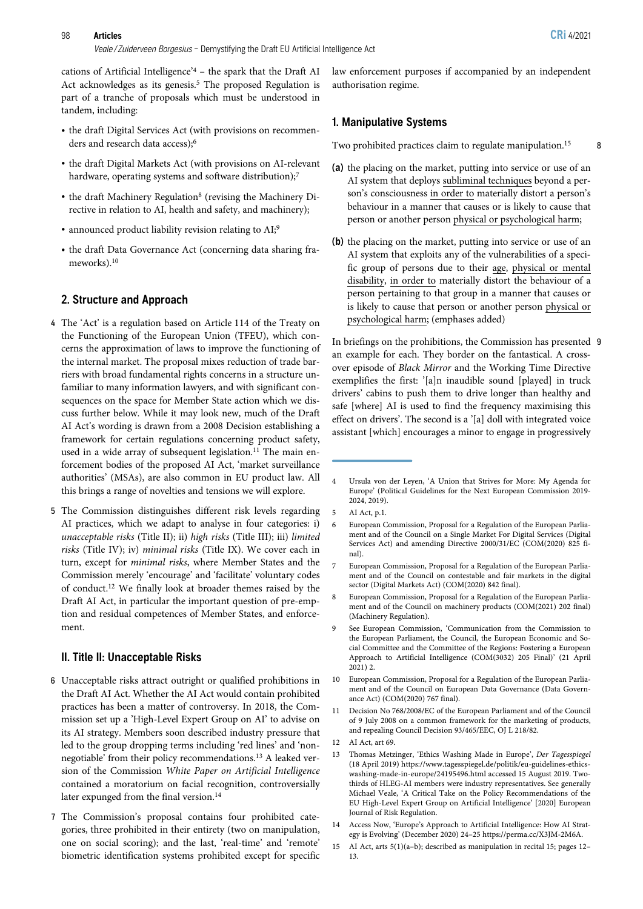cations of Artificial Intelligence' <sup>4</sup> – the spark that the Draft AI Act acknowledges as its genesis.<sup>5</sup> The proposed Regulation is part of a tranche of proposals which must be understood in tandem, including:

- the draft Digital Services Act (with provisions on recommenders and research data access);6
- the draft Digital Markets Act (with provisions on AI-relevant hardware, operating systems and software distribution);<sup>7</sup>
- the draft Machinery Regulation<sup>8</sup> (revising the Machinery Directive in relation to AI, health and safety, and machinery);
- announced product liability revision relating to AI;9
- the draft Data Governance Act (concerning data sharing frameworks).10

#### 2. Structure and Approach

- 4 The 'Act' is a regulation based on Article 114 of the Treaty on the Functioning of the European Union (TFEU), which concerns the approximation of laws to improve the functioning of the internal market. The proposal mixes reduction of trade barriers with broad fundamental rights concerns in a structure unfamiliar to many information lawyers, and with significant consequences on the space for Member State action which we discuss further below. While it may look new, much of the Draft AI Act's wording is drawn from a 2008 Decision establishing a framework for certain regulations concerning product safety, used in a wide array of subsequent legislation.<sup>11</sup> The main enforcement bodies of the proposed AI Act, 'market surveillance authorities' (MSAs), are also common in EU product law. All this brings a range of novelties and tensions we will explore.
- 5 The Commission distinguishes different risk levels regarding AI practices, which we adapt to analyse in four categories: i) unacceptable risks (Title II); ii) high risks (Title III); iii) limited risks (Title IV); iv) minimal risks (Title IX). We cover each in turn, except for minimal risks, where Member States and the Commission merely 'encourage' and 'facilitate' voluntary codes of conduct.12 We finally look at broader themes raised by the Draft AI Act, in particular the important question of pre-emption and residual competences of Member States, and enforcement.

#### II. Title II: Unacceptable Risks

- 6 Unacceptable risks attract outright or qualified prohibitions in the Draft AI Act. Whether the AI Act would contain prohibited practices has been a matter of controversy. In 2018, the Commission set up a 'High-Level Expert Group on AI' to advise on its AI strategy. Members soon described industry pressure that led to the group dropping terms including 'red lines' and 'nonnegotiable' from their policy recommendations.13 A leaked version of the Commission White Paper on Artificial Intelligence contained a moratorium on facial recognition, controversially later expunged from the final version.<sup>14</sup>
- 7 The Commission's proposal contains four prohibited categories, three prohibited in their entirety (two on manipulation, one on social scoring); and the last, 'real-time' and 'remote' biometric identification systems prohibited except for specific

law enforcement purposes if accompanied by an independent authorisation regime.

#### 1. Manipulative Systems

Two prohibited practices claim to regulate manipulation.<sup>15</sup> 8

- (a) the placing on the market, putting into service or use of an AI system that deploys subliminal techniques beyond a person's consciousness in order to materially distort a person's behaviour in a manner that causes or is likely to cause that person or another person physical or psychological harm;
- (b) the placing on the market, putting into service or use of an AI system that exploits any of the vulnerabilities of a specific group of persons due to their age, physical or mental disability, in order to materially distort the behaviour of a person pertaining to that group in a manner that causes or is likely to cause that person or another person physical or psychological harm; (emphases added)

In briefings on the prohibitions, the Commission has presented 9 an example for each. They border on the fantastical. A crossover episode of Black Mirror and the Working Time Directive exemplifies the first: '[a]n inaudible sound [played] in truck drivers' cabins to push them to drive longer than healthy and safe [where] AI is used to find the frequency maximising this effect on drivers'. The second is a '[a] doll with integrated voice assistant [which] encourages a minor to engage in progressively

- 7 European Commission, Proposal for a Regulation of the European Parliament and of the Council on contestable and fair markets in the digital sector (Digital Markets Act) (COM(2020) 842 final).
- 8 European Commission, Proposal for a Regulation of the European Parliament and of the Council on machinery products (COM(2021) 202 final) (Machinery Regulation).
- 9 See European Commission, 'Communication from the Commission to the European Parliament, the Council, the European Economic and Social Committee and the Committee of the Regions: Fostering a European Approach to Artificial Intelligence (COM(3032) 205 Final)' (21 April 2021) 2.
- 10 European Commission, Proposal for a Regulation of the European Parliament and of the Council on European Data Governance (Data Governance Act) (COM(2020) 767 final).
- 11 Decision No 768/2008/EC of the European Parliament and of the Council of 9 July 2008 on a common framework for the marketing of products, and repealing Council Decision 93/465/EEC, OJ L 218/82.
- 12 AI Act, art 69.
- 13 Thomas Metzinger, 'Ethics Washing Made in Europe', Der Tagesspiegel (18 April 2019) https://www.tagesspiegel.de/politik/eu-guidelines-ethicswashing-made-in-europe/24195496.html accessed 15 August 2019. Twothirds of HLEG-AI members were industry representatives. See generally Michael Veale, 'A Critical Take on the Policy Recommendations of the EU High-Level Expert Group on Artificial Intelligence' [2020] European Journal of Risk Regulation.
- 14 Access Now, 'Europe's Approach to Artificial Intelligence: How AI Strategy is Evolving' (December 2020) 24–25 https://perma.cc/X3JM-2M6A.
- 15 AI Act, arts 5(1)(a–b); described as manipulation in recital 15; pages 12– 13.

<sup>4</sup> Ursula von der Leyen, 'A Union that Strives for More: My Agenda for Europe' (Political Guidelines for the Next European Commission 2019- 2024, 2019).

<sup>5</sup> AI Act, p.1.

<sup>6</sup> European Commission, Proposal for a Regulation of the European Parliament and of the Council on a Single Market For Digital Services (Digital Services Act) and amending Directive 2000/31/EC (COM(2020) 825 final).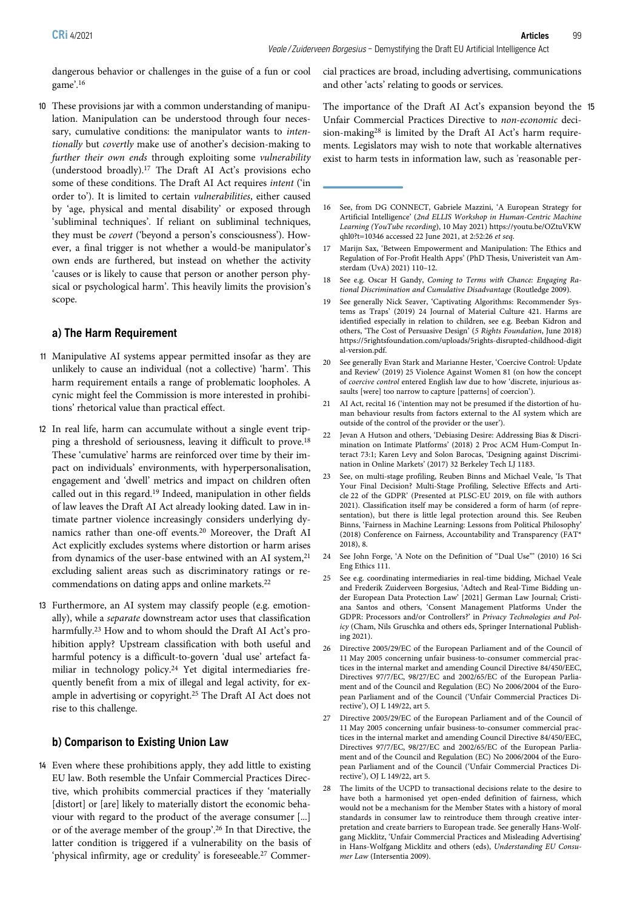dangerous behavior or challenges in the guise of a fun or cool game'. 16

10 These provisions jar with a common understanding of manipulation. Manipulation can be understood through four necessary, cumulative conditions: the manipulator wants to intentionally but covertly make use of another's decision-making to further their own ends through exploiting some vulnerability (understood broadly).17 The Draft AI Act's provisions echo some of these conditions. The Draft AI Act requires intent ('in order to'). It is limited to certain vulnerabilities, either caused by 'age, physical and mental disability' or exposed through 'subliminal techniques'. If reliant on subliminal techniques, they must be covert ('beyond a person's consciousness'). However, a final trigger is not whether a would-be manipulator's own ends are furthered, but instead on whether the activity 'causes or is likely to cause that person or another person physical or psychological harm'. This heavily limits the provision's scope.

#### a) The Harm Requirement

- 11 Manipulative AI systems appear permitted insofar as they are unlikely to cause an individual (not a collective) 'harm'. This harm requirement entails a range of problematic loopholes. A cynic might feel the Commission is more interested in prohibitions' rhetorical value than practical effect.
- 12 In real life, harm can accumulate without a single event tripping a threshold of seriousness, leaving it difficult to prove.18 These 'cumulative' harms are reinforced over time by their impact on individuals' environments, with hyperpersonalisation, engagement and 'dwell' metrics and impact on children often called out in this regard.19 Indeed, manipulation in other fields of law leaves the Draft AI Act already looking dated. Law in intimate partner violence increasingly considers underlying dynamics rather than one-off events.20 Moreover, the Draft AI Act explicitly excludes systems where distortion or harm arises from dynamics of the user-base entwined with an AI system,<sup>21</sup> excluding salient areas such as discriminatory ratings or recommendations on dating apps and online markets.22
- 13 Furthermore, an AI system may classify people (e.g. emotionally), while a separate downstream actor uses that classification harmfully.23 How and to whom should the Draft AI Act's prohibition apply? Upstream classification with both useful and harmful potency is a difficult-to-govern 'dual use' artefact familiar in technology policy.24 Yet digital intermediaries frequently benefit from a mix of illegal and legal activity, for example in advertising or copyright.25 The Draft AI Act does not rise to this challenge.

#### b) Comparison to Existing Union Law

14 Even where these prohibitions apply, they add little to existing EU law. Both resemble the Unfair Commercial Practices Directive, which prohibits commercial practices if they 'materially [distort] or [are] likely to materially distort the economic behaviour with regard to the product of the average consumer [...] or of the average member of the group'. <sup>26</sup> In that Directive, the latter condition is triggered if a vulnerability on the basis of 'physical infirmity, age or credulity' is foreseeable.<sup>27</sup> Commercial practices are broad, including advertising, communications and other 'acts' relating to goods or services.

The importance of the Draft AI Act's expansion beyond the 15 Unfair Commercial Practices Directive to non-economic decision-making28 is limited by the Draft AI Act's harm requirements. Legislators may wish to note that workable alternatives exist to harm tests in information law, such as 'reasonable per-

- 16 See, from DG CONNECT, Gabriele Mazzini, 'A European Strategy for Artificial Intelligence' (2nd ELLIS Workshop in Human-Centric Machine Learning (YouTube recording), 10 May 2021) https://youtu.be/OZtuVKW qhl0?t=10346 accessed 22 June 2021, at 2:52:26 et seq.
- 17 Marijn Sax, 'Between Empowerment and Manipulation: The Ethics and Regulation of For-Profit Health Apps' (PhD Thesis, Univeristeit van Amsterdam (UvA) 2021) 110–12.
- 18 See e.g. Oscar H Gandy, Coming to Terms with Chance: Engaging Rational Discrimination and Cumulative Disadvantage (Routledge 2009).
- 19 See generally Nick Seaver, 'Captivating Algorithms: Recommender Systems as Traps' (2019) 24 Journal of Material Culture 421. Harms are identified especially in relation to children, see e.g. Beeban Kidron and others, 'The Cost of Persuasive Design' (5 Rights Foundation, June 2018) https://5rightsfoundation.com/uploads/5rights-disrupted-childhood-digit al-version.pdf.
- 20 See generally Evan Stark and Marianne Hester, 'Coercive Control: Update and Review' (2019) 25 Violence Against Women 81 (on how the concept of coercive control entered English law due to how 'discrete, injurious assaults [were] too narrow to capture [patterns] of coercion').
- 21 AI Act, recital 16 ('intention may not be presumed if the distortion of human behaviour results from factors external to the AI system which are outside of the control of the provider or the user').
- 22 Jevan A Hutson and others, 'Debiasing Desire: Addressing Bias & Discrimination on Intimate Platforms' (2018) 2 Proc ACM Hum-Comput Interact 73:1; Karen Levy and Solon Barocas, 'Designing against Discrimination in Online Markets' (2017) 32 Berkeley Tech LJ 1183.
- 23 See, on multi-stage profiling, Reuben Binns and Michael Veale, 'Is That Your Final Decision? Multi-Stage Profiling, Selective Effects and Article 22 of the GDPR' (Presented at PLSC-EU 2019, on file with authors 2021). Classification itself may be considered a form of harm (of representation), but there is little legal protection around this. See Reuben Binns, 'Fairness in Machine Learning: Lessons from Political Philosophy' (2018) Conference on Fairness, Accountability and Transparency (FAT\* 2018), 8.
- 24 See John Forge, 'A Note on the Definition of "Dual Use"' (2010) 16 Sci Eng Ethics 111.
- 25 See e.g. coordinating intermediaries in real-time bidding, Michael Veale and Frederik Zuiderveen Borgesius, 'Adtech and Real-Time Bidding under European Data Protection Law' [2021] German Law Journal; Cristiana Santos and others, 'Consent Management Platforms Under the GDPR: Processors and/or Controllers?' in Privacy Technologies and Policy (Cham, Nils Gruschka and others eds, Springer International Publishing 2021).
- 26 Directive 2005/29/EC of the European Parliament and of the Council of 11 May 2005 concerning unfair business-to-consumer commercial practices in the internal market and amending Council Directive 84/450/EEC, Directives 97/7/EC, 98/27/EC and 2002/65/EC of the European Parliament and of the Council and Regulation (EC) No 2006/2004 of the European Parliament and of the Council ('Unfair Commercial Practices Directive'), OJ L 149/22, art 5.
- 27 Directive 2005/29/EC of the European Parliament and of the Council of 11 May 2005 concerning unfair business-to-consumer commercial practices in the internal market and amending Council Directive 84/450/EEC, Directives 97/7/EC, 98/27/EC and 2002/65/EC of the European Parliament and of the Council and Regulation (EC) No 2006/2004 of the European Parliament and of the Council ('Unfair Commercial Practices Directive'), OJ L 149/22, art 5.
- 28 The limits of the UCPD to transactional decisions relate to the desire to have both a harmonised yet open-ended definition of fairness, which would not be a mechanism for the Member States with a history of moral standards in consumer law to reintroduce them through creative interpretation and create barriers to European trade. See generally Hans‑Wolfgang Micklitz, 'Unfair Commercial Practices and Misleading Advertising' in Hans‑Wolfgang Micklitz and others (eds), Understanding EU Consumer Law (Intersentia 2009).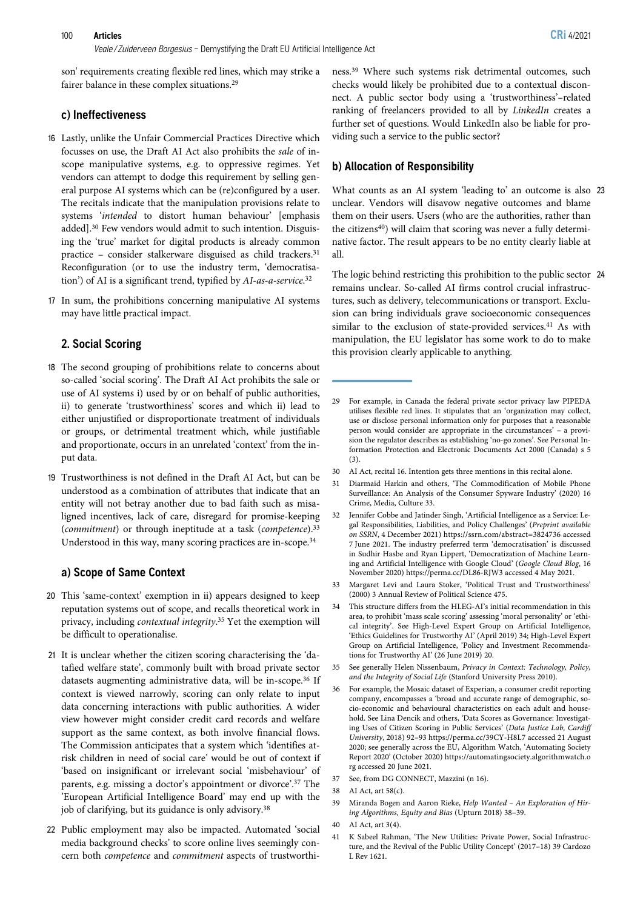son' requirements creating flexible red lines, which may strike a fairer balance in these complex situations.29

#### c) Ineffectiveness

- 16 Lastly, unlike the Unfair Commercial Practices Directive which focusses on use, the Draft AI Act also prohibits the sale of inscope manipulative systems, e.g. to oppressive regimes. Yet vendors can attempt to dodge this requirement by selling general purpose AI systems which can be (re)configured by a user. The recitals indicate that the manipulation provisions relate to systems 'intended to distort human behaviour' [emphasis added].30 Few vendors would admit to such intention. Disguising the 'true' market for digital products is already common practice – consider stalkerware disguised as child trackers.31 Reconfiguration (or to use the industry term, 'democratisation') of AI is a significant trend, typified by AI-as-a-service.<sup>32</sup>
- 17 In sum, the prohibitions concerning manipulative AI systems may have little practical impact.

#### 2. Social Scoring

- 18 The second grouping of prohibitions relate to concerns about so-called 'social scoring'. The Draft AI Act prohibits the sale or use of AI systems i) used by or on behalf of public authorities, ii) to generate 'trustworthiness' scores and which ii) lead to either unjustified or disproportionate treatment of individuals or groups, or detrimental treatment which, while justifiable and proportionate, occurs in an unrelated 'context' from the input data.
- 19 Trustworthiness is not defined in the Draft AI Act, but can be understood as a combination of attributes that indicate that an entity will not betray another due to bad faith such as misaligned incentives, lack of care, disregard for promise-keeping (commitment) or through ineptitude at a task (competence).33 Understood in this way, many scoring practices are in-scope.<sup>34</sup>

#### a) Scope of Same Context

- 20 This 'same-context' exemption in ii) appears designed to keep reputation systems out of scope, and recalls theoretical work in privacy, including *contextual integrity*.<sup>35</sup> Yet the exemption will be difficult to operationalise.
- 21 It is unclear whether the citizen scoring characterising the 'datafied welfare state', commonly built with broad private sector datasets augmenting administrative data, will be in-scope.36 If context is viewed narrowly, scoring can only relate to input data concerning interactions with public authorities. A wider view however might consider credit card records and welfare support as the same context, as both involve financial flows. The Commission anticipates that a system which 'identifies atrisk children in need of social care' would be out of context if 'based on insignificant or irrelevant social 'misbehaviour' of parents, e.g. missing a doctor's appointment or divorce'. <sup>37</sup> The 'European Artificial Intelligence Board' may end up with the job of clarifying, but its guidance is only advisory.<sup>38</sup>
- 22 Public employment may also be impacted. Automated 'social media background checks' to score online lives seemingly concern both competence and commitment aspects of trustworthi-

ness.39 Where such systems risk detrimental outcomes, such checks would likely be prohibited due to a contextual disconnect. A public sector body using a 'trustworthiness'–related ranking of freelancers provided to all by LinkedIn creates a further set of questions. Would LinkedIn also be liable for providing such a service to the public sector?

#### b) Allocation of Responsibility

What counts as an AI system 'leading to' an outcome is also 23 unclear. Vendors will disavow negative outcomes and blame them on their users. Users (who are the authorities, rather than the citizens<sup>40</sup>) will claim that scoring was never a fully determinative factor. The result appears to be no entity clearly liable at all.

The logic behind restricting this prohibition to the public sector 24 remains unclear. So-called AI firms control crucial infrastructures, such as delivery, telecommunications or transport. Exclusion can bring individuals grave socioeconomic consequences similar to the exclusion of state-provided services.<sup>41</sup> As with manipulation, the EU legislator has some work to do to make this provision clearly applicable to anything.

- Jennifer Cobbe and Jatinder Singh, 'Artificial Intelligence as a Service: Legal Responsibilities, Liabilities, and Policy Challenges' (Preprint available on SSRN, 4 December 2021) https://ssrn.com/abstract=3824736 accessed 7 June 2021. The industry preferred term 'democratisation' is discussed in Sudhir Hasbe and Ryan Lippert, 'Democratization of Machine Learning and Artificial Intelligence with Google Cloud' (Google Cloud Blog, 16 November 2020) https://perma.cc/DL86-RJW3 accessed 4 May 2021.
- 33 Margaret Levi and Laura Stoker, 'Political Trust and Trustworthiness' (2000) 3 Annual Review of Political Science 475.
- 34 This structure differs from the HLEG-AI's initial recommendation in this area, to prohibit 'mass scale scoring' assessing 'moral personality' or 'ethical integrity'. See High-Level Expert Group on Artificial Intelligence, 'Ethics Guidelines for Trustworthy AI' (April 2019) 34; High-Level Expert Group on Artificial Intelligence, 'Policy and Investment Recommendations for Trustworthy AI' (26 June 2019) 20.
- 35 See generally Helen Nissenbaum, Privacy in Context: Technology, Policy, and the Integrity of Social Life (Stanford University Press 2010).
- 36 For example, the Mosaic dataset of Experian, a consumer credit reporting company, encompasses a 'broad and accurate range of demographic, socio-economic and behavioural characteristics on each adult and household. See Lina Dencik and others, 'Data Scores as Governance: Investigating Uses of Citizen Scoring in Public Services' (Data Justice Lab, Cardiff University, 2018) 92–93 https://perma.cc/39CY-H8L7 accessed 21 August 2020; see generally across the EU, Algorithm Watch, 'Automating Society Report 2020' (October 2020) https://automatingsociety.algorithmwatch.o rg accessed 20 June 2021.
- 37 See, from DG CONNECT, Mazzini (n 16).
- 38 AI Act, art 58(c).
- 39 Miranda Bogen and Aaron Rieke, Help Wanted An Exploration of Hiring Algorithms, Equity and Bias (Upturn 2018) 38–39.
- 40 AI Act, art 3(4).
- 41 K Sabeel Rahman, 'The New Utilities: Private Power, Social Infrastructure, and the Revival of the Public Utility Concept' (2017–18) 39 Cardozo L Rev 1621.

<sup>29</sup> For example, in Canada the federal private sector privacy law PIPEDA utilises flexible red lines. It stipulates that an 'organization may collect, use or disclose personal information only for purposes that a reasonable person would consider are appropriate in the circumstances' – a provision the regulator describes as establishing 'no-go zones'. See Personal Information Protection and Electronic Documents Act 2000 (Canada) s 5 (3).

<sup>30</sup> AI Act, recital 16. Intention gets three mentions in this recital alone.

<sup>31</sup> Diarmaid Harkin and others, 'The Commodification of Mobile Phone Surveillance: An Analysis of the Consumer Spyware Industry' (2020) 16 Crime, Media, Culture 33.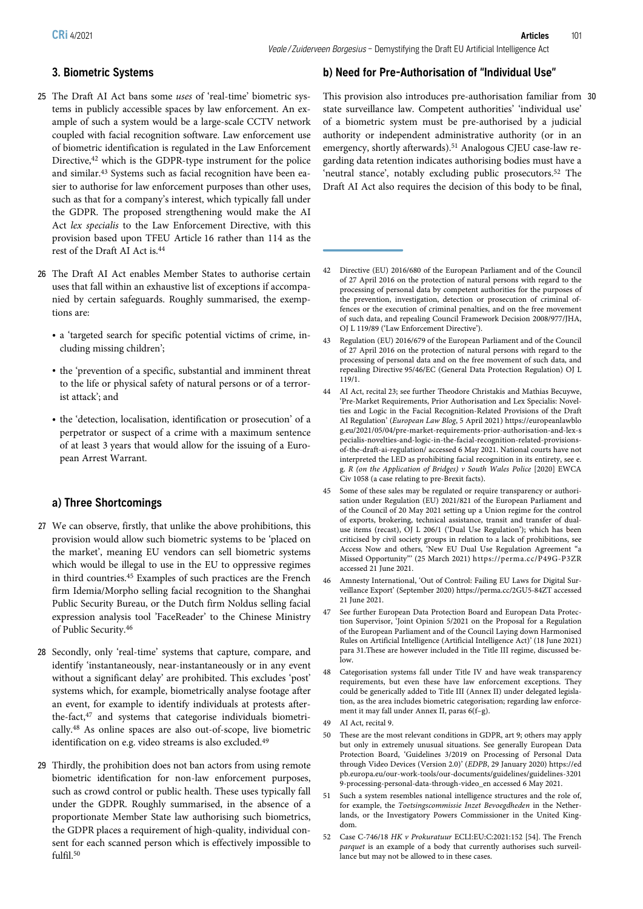# 3. Biometric Systems

- 25 The Draft AI Act bans some uses of 'real-time' biometric systems in publicly accessible spaces by law enforcement. An example of such a system would be a large-scale CCTV network coupled with facial recognition software. Law enforcement use of biometric identification is regulated in the Law Enforcement Directive,<sup>42</sup> which is the GDPR-type instrument for the police and similar.43 Systems such as facial recognition have been easier to authorise for law enforcement purposes than other uses, such as that for a company's interest, which typically fall under the GDPR. The proposed strengthening would make the AI Act lex specialis to the Law Enforcement Directive, with this provision based upon TFEU Article 16 rather than 114 as the rest of the Draft AI Act is.44
- 26 The Draft AI Act enables Member States to authorise certain uses that fall within an exhaustive list of exceptions if accompanied by certain safeguards. Roughly summarised, the exemptions are:
	- a 'targeted search for specific potential victims of crime, including missing children';
	- the 'prevention of a specific, substantial and imminent threat to the life or physical safety of natural persons or of a terrorist attack'; and
	- the 'detection, localisation, identification or prosecution' of a perpetrator or suspect of a crime with a maximum sentence of at least 3 years that would allow for the issuing of a European Arrest Warrant.

# a) Three Shortcomings

- 27 We can observe, firstly, that unlike the above prohibitions, this provision would allow such biometric systems to be 'placed on the market', meaning EU vendors can sell biometric systems which would be illegal to use in the EU to oppressive regimes in third countries.45 Examples of such practices are the French firm Idemia/Morpho selling facial recognition to the Shanghai Public Security Bureau, or the Dutch firm Noldus selling facial expression analysis tool 'FaceReader' to the Chinese Ministry of Public Security.46
- 28 Secondly, only 'real-time' systems that capture, compare, and identify 'instantaneously, near-instantaneously or in any event without a significant delay' are prohibited. This excludes 'post' systems which, for example, biometrically analyse footage after an event, for example to identify individuals at protests afterthe-fact,47 and systems that categorise individuals biometrically.48 As online spaces are also out-of-scope, live biometric identification on e.g. video streams is also excluded.<sup>49</sup>
- 29 Thirdly, the prohibition does not ban actors from using remote biometric identification for non-law enforcement purposes, such as crowd control or public health. These uses typically fall under the GDPR. Roughly summarised, in the absence of a proportionate Member State law authorising such biometrics, the GDPR places a requirement of high-quality, individual consent for each scanned person which is effectively impossible to fulfil.50

# b) Need for Pre-Authorisation of "Individual Use"

This provision also introduces pre-authorisation familiar from 30 state surveillance law. Competent authorities' 'individual use' of a biometric system must be pre-authorised by a judicial authority or independent administrative authority (or in an emergency, shortly afterwards).<sup>51</sup> Analogous CJEU case-law regarding data retention indicates authorising bodies must have a 'neutral stance', notably excluding public prosecutors.<sup>52</sup> The Draft AI Act also requires the decision of this body to be final,

- 42 Directive (EU) 2016/680 of the European Parliament and of the Council of 27 April 2016 on the protection of natural persons with regard to the processing of personal data by competent authorities for the purposes of the prevention, investigation, detection or prosecution of criminal offences or the execution of criminal penalties, and on the free movement of such data, and repealing Council Framework Decision 2008/977/JHA, OJ L 119/89 ('Law Enforcement Directive').
- 43 Regulation (EU) 2016/679 of the European Parliament and of the Council of 27 April 2016 on the protection of natural persons with regard to the processing of personal data and on the free movement of such data, and repealing Directive 95/46/EC (General Data Protection Regulation) OJ L 119/1.
- 44 AI Act, recital 23; see further Theodore Christakis and Mathias Becuywe, 'Pre-Market Requirements, Prior Authorisation and Lex Specialis: Novelties and Logic in the Facial Recognition-Related Provisions of the Draft AI Regulation' (European Law Blog, 5 April 2021) https://europeanlawblo g.eu/2021/05/04/pre-market-requirements-prior-authorisation-and-lex-s pecialis-novelties-and-logic-in-the-facial-recognition-related-provisionsof-the-draft-ai-regulation/ accessed 6 May 2021. National courts have not interpreted the LED as prohibiting facial recognition in its entirety, see e. g. R (on the Application of Bridges) v South Wales Police [2020] EWCA Civ 1058 (a case relating to pre-Brexit facts).
- 45 Some of these sales may be regulated or require transparency or authorisation under Regulation (EU) 2021/821 of the European Parliament and of the Council of 20 May 2021 setting up a Union regime for the control of exports, brokering, technical assistance, transit and transfer of dualuse items (recast), OJ L 206/1 ('Dual Use Regulation'); which has been criticised by civil society groups in relation to a lack of prohibitions, see Access Now and others, 'New EU Dual Use Regulation Agreement "a Missed Opportunity"' (25 March 2021) https://perma.cc/P49G-P3ZR accessed 21 June 2021.
- 46 Amnesty International, 'Out of Control: Failing EU Laws for Digital Surveillance Export' (September 2020) https://perma.cc/2GU5-84ZT accessed 21 June 2021.
- 47 See further European Data Protection Board and European Data Protection Supervisor, 'Joint Opinion 5/2021 on the Proposal for a Regulation of the European Parliament and of the Council Laying down Harmonised Rules on Artificial Intelligence (Artificial Intelligence Act)' (18 June 2021) para 31.These are however included in the Title III regime, discussed below.
- 48 Categorisation systems fall under Title IV and have weak transparency requirements, but even these have law enforcement exceptions. They could be generically added to Title III (Annex II) under delegated legislation, as the area includes biometric categorisation; regarding law enforcement it may fall under Annex II, paras 6(f–g).
- 49 AI Act, recital 9.
- 50 These are the most relevant conditions in GDPR, art 9; others may apply but only in extremely unusual situations. See generally European Data Protection Board, 'Guidelines 3/2019 on Processing of Personal Data through Video Devices (Version 2.0)' (EDPB, 29 January 2020) https://ed pb.europa.eu/our-work-tools/our-documents/guidelines/guidelines-3201 9-processing-personal-data-through-video\_en accessed 6 May 2021.
- 51 Such a system resembles national intelligence structures and the role of, for example, the Toetsingscommissie Inzet Bevoegdheden in the Netherlands, or the Investigatory Powers Commissioner in the United Kingdom.
- 52 Case C-746/18 HK v Prokuratuur ECLI:EU:C:2021:152 [54]. The French parquet is an example of a body that currently authorises such surveillance but may not be allowed to in these cases.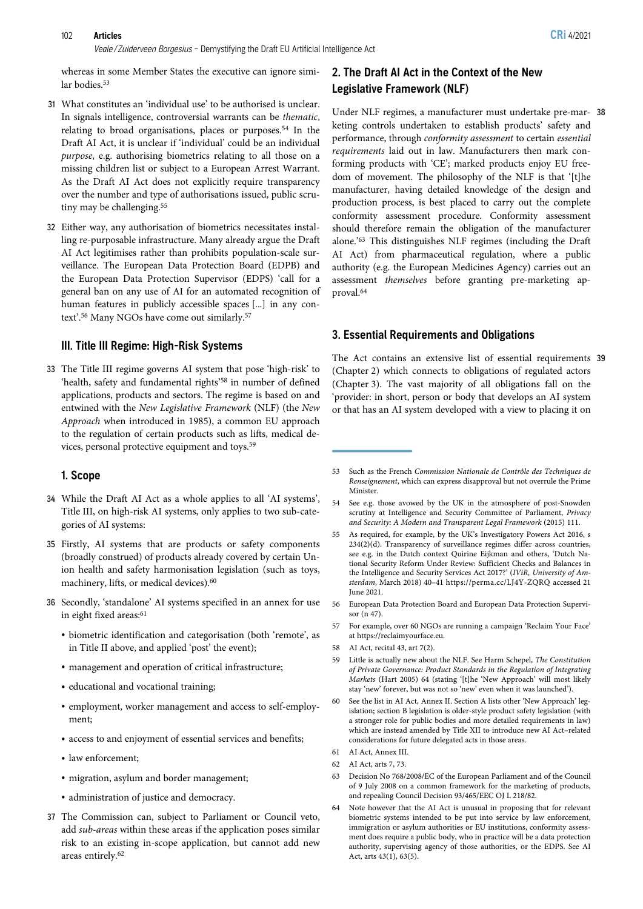#### 102 Articles CRi 4/2021

Veale / Zuiderveen Borgesius - Demystifying the Draft EU Artificial Intelligence Act

whereas in some Member States the executive can ignore similar bodies.<sup>53</sup>

- 31 What constitutes an 'individual use' to be authorised is unclear. In signals intelligence, controversial warrants can be thematic, relating to broad organisations, places or purposes.54 In the Draft AI Act, it is unclear if 'individual' could be an individual purpose, e.g. authorising biometrics relating to all those on a missing children list or subject to a European Arrest Warrant. As the Draft AI Act does not explicitly require transparency over the number and type of authorisations issued, public scrutiny may be challenging.<sup>55</sup>
- 32 Either way, any authorisation of biometrics necessitates installing re-purposable infrastructure. Many already argue the Draft AI Act legitimises rather than prohibits population-scale surveillance. The European Data Protection Board (EDPB) and the European Data Protection Supervisor (EDPS) 'call for a general ban on any use of AI for an automated recognition of human features in publicly accessible spaces [...] in any context'. <sup>56</sup> Many NGOs have come out similarly.57

#### III. Title III Regime: High-Risk Systems

33 The Title III regime governs AI system that pose 'high-risk' to 'health, safety and fundamental rights' <sup>58</sup> in number of defined applications, products and sectors. The regime is based on and entwined with the New Legislative Framework (NLF) (the New Approach when introduced in 1985), a common EU approach to the regulation of certain products such as lifts, medical devices, personal protective equipment and toys.59

#### 1. Scope

- 34 While the Draft AI Act as a whole applies to all 'AI systems', Title III, on high-risk AI systems, only applies to two sub-categories of AI systems:
- 35 Firstly, AI systems that are products or safety components (broadly construed) of products already covered by certain Union health and safety harmonisation legislation (such as toys, machinery, lifts, or medical devices).<sup>60</sup>
- 36 Secondly, 'standalone' AI systems specified in an annex for use in eight fixed areas:<sup>61</sup>
	- biometric identification and categorisation (both 'remote', as in Title II above, and applied 'post' the event);
	- management and operation of critical infrastructure;
	- educational and vocational training;
	- employment, worker management and access to self-employment;
	- access to and enjoyment of essential services and benefits;
	- law enforcement;
	- migration, asylum and border management;
	- administration of justice and democracy.
- 37 The Commission can, subject to Parliament or Council veto, add sub-areas within these areas if the application poses similar risk to an existing in-scope application, but cannot add new areas entirely.62

# 2. The Draft AI Act in the Context of the New Legislative Framework (NLF)

Under NLF regimes, a manufacturer must undertake pre-mar- 38 keting controls undertaken to establish products' safety and performance, through conformity assessment to certain essential requirements laid out in law. Manufacturers then mark conforming products with 'CE'; marked products enjoy EU freedom of movement. The philosophy of the NLF is that '[t]he manufacturer, having detailed knowledge of the design and production process, is best placed to carry out the complete conformity assessment procedure. Conformity assessment should therefore remain the obligation of the manufacturer alone.' <sup>63</sup> This distinguishes NLF regimes (including the Draft AI Act) from pharmaceutical regulation, where a public authority (e.g. the European Medicines Agency) carries out an assessment themselves before granting pre-marketing approval.64

#### 3. Essential Requirements and Obligations

The Act contains an extensive list of essential requirements 39 (Chapter 2) which connects to obligations of regulated actors (Chapter 3). The vast majority of all obligations fall on the 'provider: in short, person or body that develops an AI system or that has an AI system developed with a view to placing it on

- 54 See e.g. those avowed by the UK in the atmosphere of post-Snowden scrutiny at Intelligence and Security Committee of Parliament, Privacy and Security: A Modern and Transparent Legal Framework (2015) 111.
- 55 As required, for example, by the UK's Investigatory Powers Act 2016, s 234(2)(d). Transparency of surveillance regimes differ across countries, see e.g. in the Dutch context Quirine Eijkman and others, 'Dutch National Security Reform Under Review: Sufficient Checks and Balances in the Intelligence and Security Services Act 2017?' (IViR, University of Amsterdam, March 2018) 40–41 https://perma.cc/LJ4Y-ZQRQ accessed 21 June 2021.
- 56 European Data Protection Board and European Data Protection Supervisor (n 47).
- 57 For example, over 60 NGOs are running a campaign 'Reclaim Your Face' at https://reclaimyourface.eu.
- 58 AI Act, recital 43, art 7(2).
- 59 Little is actually new about the NLF. See Harm Schepel, The Constitution of Private Governance: Product Standards in the Regulation of Integrating Markets (Hart 2005) 64 (stating '[t]he 'New Approach' will most likely stay 'new' forever, but was not so 'new' even when it was launched').
- 60 See the list in AI Act, Annex II. Section A lists other 'New Approach' legislation; section B legislation is older-style product safety legislation (with a stronger role for public bodies and more detailed requirements in law) which are instead amended by Title XII to introduce new AI Act–related considerations for future delegated acts in those areas.
- 61 AI Act, Annex III.
- 62 AI Act, arts 7, 73.
- 63 Decision No 768/2008/EC of the European Parliament and of the Council of 9 July 2008 on a common framework for the marketing of products, and repealing Council Decision 93/465/EEC OJ L 218/82.
- 64 Note however that the AI Act is unusual in proposing that for relevant biometric systems intended to be put into service by law enforcement, immigration or asylum authorities or EU institutions, conformity assessment does require a public body, who in practice will be a data protection authority, supervising agency of those authorities, or the EDPS. See AI Act, arts 43(1), 63(5).

<sup>53</sup> Such as the French Commission Nationale de Contrôle des Techniques de Renseignement, which can express disapproval but not overrule the Prime **Minister**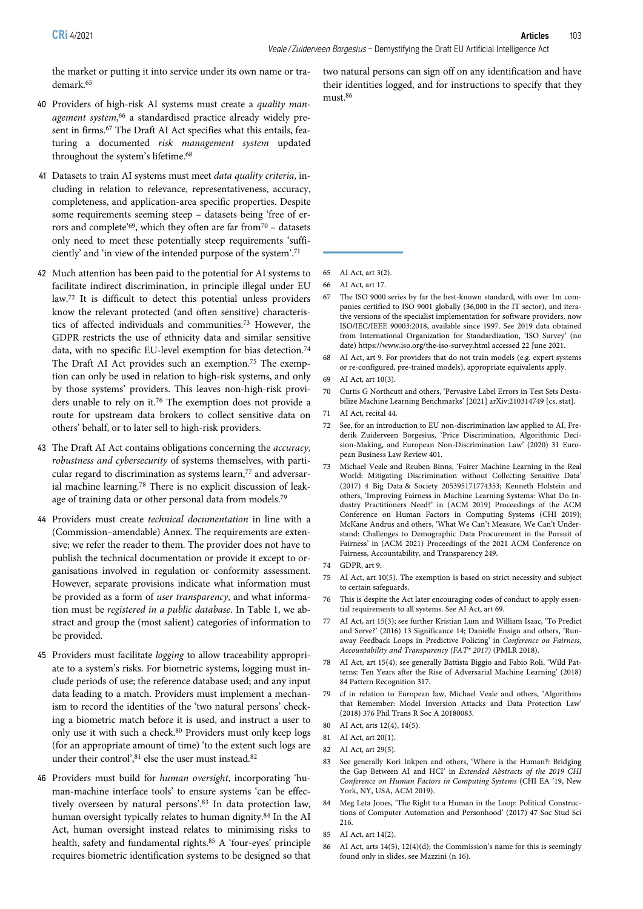the market or putting it into service under its own name or trademark.65

- 40 Providers of high-risk AI systems must create a quality management system,<sup>66</sup> a standardised practice already widely present in firms.67 The Draft AI Act specifies what this entails, featuring a documented risk management system updated throughout the system's lifetime.<sup>68</sup>
- 41 Datasets to train AI systems must meet data quality criteria, including in relation to relevance, representativeness, accuracy, completeness, and application-area specific properties. Despite some requirements seeming steep – datasets being 'free of errors and complete'<sup>69</sup>, which they often are far from<sup>70</sup> – datasets only need to meet these potentially steep requirements 'sufficiently' and 'in view of the intended purpose of the system'. 71
- 42 Much attention has been paid to the potential for AI systems to facilitate indirect discrimination, in principle illegal under EU law.72 It is difficult to detect this potential unless providers know the relevant protected (and often sensitive) characteristics of affected individuals and communities.73 However, the GDPR restricts the use of ethnicity data and similar sensitive data, with no specific EU-level exemption for bias detection.74 The Draft AI Act provides such an exemption.75 The exemption can only be used in relation to high-risk systems, and only by those systems' providers. This leaves non-high-risk providers unable to rely on it.76 The exemption does not provide a route for upstream data brokers to collect sensitive data on others' behalf, or to later sell to high-risk providers.
- 43 The Draft AI Act contains obligations concerning the accuracy, robustness and cybersecurity of systems themselves, with particular regard to discrimination as systems learn,<sup>77</sup> and adversarial machine learning.78 There is no explicit discussion of leakage of training data or other personal data from models.79
- 44 Providers must create technical documentation in line with a (Commission–amendable) Annex. The requirements are extensive; we refer the reader to them. The provider does not have to publish the technical documentation or provide it except to organisations involved in regulation or conformity assessment. However, separate provisions indicate what information must be provided as a form of user transparency, and what information must be registered in a public database. In Table 1, we abstract and group the (most salient) categories of information to be provided.
- 45 Providers must facilitate logging to allow traceability appropriate to a system's risks. For biometric systems, logging must include periods of use; the reference database used; and any input data leading to a match. Providers must implement a mechanism to record the identities of the 'two natural persons' checking a biometric match before it is used, and instruct a user to only use it with such a check.80 Providers must only keep logs (for an appropriate amount of time) 'to the extent such logs are under their control', <sup>81</sup> else the user must instead.82
- 46 Providers must build for human oversight, incorporating 'human-machine interface tools' to ensure systems 'can be effectively overseen by natural persons'. <sup>83</sup> In data protection law, human oversight typically relates to human dignity.84 In the AI Act, human oversight instead relates to minimising risks to health, safety and fundamental rights.85 A 'four-eyes' principle requires biometric identification systems to be designed so that

two natural persons can sign off on any identification and have their identities logged, and for instructions to specify that they must.86

- 65 AI Act, art 3(2).
- 66 AI Act, art 17.
- 67 The ISO 9000 series by far the best-known standard, with over 1m companies certified to ISO 9001 globally (36,000 in the IT sector), and iterative versions of the specialist implementation for software providers, now ISO/IEC/IEEE 90003:2018, available since 1997. See 2019 data obtained from International Organization for Standardization, 'ISO Survey' (no date) https://www.iso.org/the-iso-survey.html accessed 22 June 2021.
- 68 AI Act, art 9. For providers that do not train models (e.g. expert systems or re-configured, pre-trained models), appropriate equivalents apply.
- 69 AI Act, art 10(3).
- 70 Curtis G Northcutt and others, 'Pervasive Label Errors in Test Sets Destabilize Machine Learning Benchmarks' [2021] arXiv:210314749 [cs, stat].
- 71 AI Act, recital 44.
- 72 See, for an introduction to EU non-discrimination law applied to AI, Frederik Zuiderveen Borgesius, 'Price Discrimination, Algorithmic Decision-Making, and European Non-Discrimination Law' (2020) 31 European Business Law Review 401.
- 73 Michael Veale and Reuben Binns, 'Fairer Machine Learning in the Real World: Mitigating Discrimination without Collecting Sensitive Data' (2017) 4 Big Data & Society 205395171774353; Kenneth Holstein and others, 'Improving Fairness in Machine Learning Systems: What Do Industry Practitioners Need?' in (ACM 2019) Proceedings of the ACM Conference on Human Factors in Computing Systems (CHI 2019); McKane Andrus and others, 'What We Can't Measure, We Can't Understand: Challenges to Demographic Data Procurement in the Pursuit of Fairness' in (ACM 2021) Proceedings of the 2021 ACM Conference on Fairness, Accountability, and Transparency 249.
- 74 GDPR, art 9.
- 75 AI Act, art 10(5). The exemption is based on strict necessity and subject to certain safeguards.
- 76 This is despite the Act later encouraging codes of conduct to apply essential requirements to all systems. See AI Act, art 69.
- 77 AI Act, art 15(3); see further Kristian Lum and William Isaac, 'To Predict and Serve?' (2016) 13 Significance 14; Danielle Ensign and others, 'Runaway Feedback Loops in Predictive Policing' in Conference on Fairness, Accountability and Transparency (FAT\* 2017) (PMLR 2018).
- 78 AI Act, art 15(4); see generally Battista Biggio and Fabio Roli, 'Wild Patterns: Ten Years after the Rise of Adversarial Machine Learning' (2018) 84 Pattern Recognition 317.
- 79 cf in relation to European law, Michael Veale and others, 'Algorithms that Remember: Model Inversion Attacks and Data Protection Law' (2018) 376 Phil Trans R Soc A 20180083.
- 80 AI Act, arts 12(4), 14(5).
- 81 AI Act, art 20(1).
- 82 AI Act, art 29(5).
- 83 See generally Kori Inkpen and others, 'Where is the Human?: Bridging the Gap Between AI and HCI' in Extended Abstracts of the 2019 CHI Conference on Human Factors in Computing Systems (CHI EA '19, New York, NY, USA, ACM 2019).
- 84 Meg Leta Jones, 'The Right to a Human in the Loop: Political Constructions of Computer Automation and Personhood' (2017) 47 Soc Stud Sci 216.
- 85 AI Act, art 14(2).
- 86 AI Act, arts 14(5), 12(4)(d); the Commission's name for this is seemingly found only in slides, see Mazzini (n 16).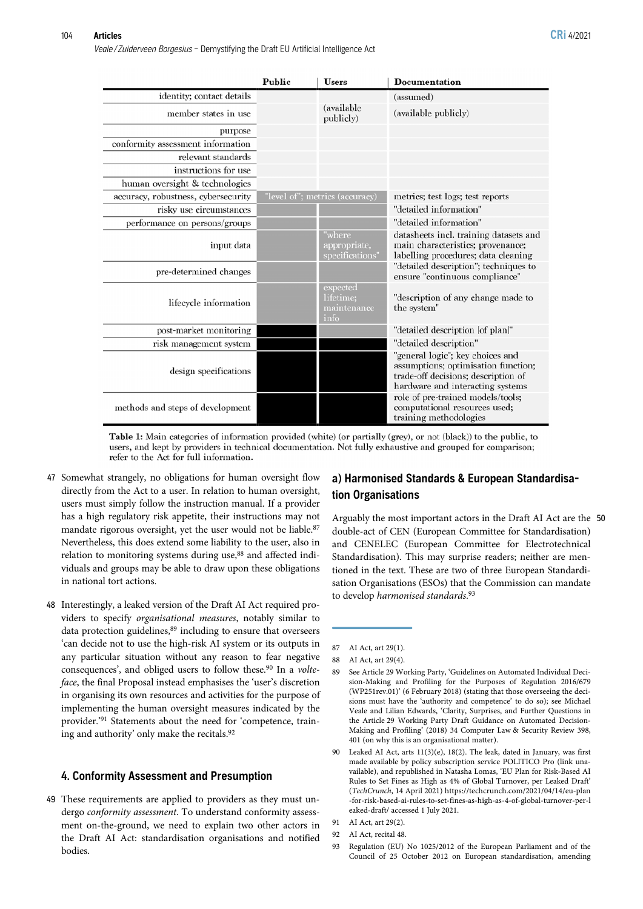Veale / Zuiderveen Borgesius - Demystifying the Draft EU Artificial Intelligence Act

|                                     | Public | <b>Users</b>                                 | <b>Documentation</b>                                                                                                                               |
|-------------------------------------|--------|----------------------------------------------|----------------------------------------------------------------------------------------------------------------------------------------------------|
| identity; contact details           |        |                                              | (assumed)                                                                                                                                          |
| member states in use                |        | (available<br>publicly)                      | (available publicly)                                                                                                                               |
| purpose                             |        |                                              |                                                                                                                                                    |
| conformity assessment information   |        |                                              |                                                                                                                                                    |
| relevant standards                  |        |                                              |                                                                                                                                                    |
| instructions for use                |        |                                              |                                                                                                                                                    |
| human oversight & technologies      |        |                                              |                                                                                                                                                    |
| accuracy, robustness, cybersecurity |        | "level of"; metrics (accuracy)               | metrics; test logs; test reports                                                                                                                   |
| risky use circumstances             |        |                                              | "detailed information"                                                                                                                             |
| performance on persons/groups       |        |                                              | "detailed information"                                                                                                                             |
| input data                          |        | "where<br>appropriate,<br>specifications'    | datasheets incl. training datasets and<br>main characteristics; provenance;<br>labelling procedures; data cleaning                                 |
| pre-determined changes              |        |                                              | "detailed description"; techniques to<br>ensure "continuous compliance"                                                                            |
| lifecycle information               |        | expected<br>lifetime;<br>maintenance<br>info | "description of any change made to<br>the system"                                                                                                  |
| post-market monitoring              |        |                                              | "detailed description [of plan]"                                                                                                                   |
| risk management system              |        |                                              | "detailed description"                                                                                                                             |
| design specifications               |        |                                              | "general logic"; key choices and<br>assumptions; optimisation function;<br>trade-off decisions; description of<br>hardware and interacting systems |
| methods and steps of development    |        |                                              | role of pre-trained models/tools;<br>computational resources used;<br>training methodologies                                                       |

**Table 1:** Main categories of information provided (white) (or partially (grey), or not (black)) to the public, to users, and kept by providers in technical documentation. Not fully exhaustive and grouped for comparison; refer to the Act for full information.

- 47 Somewhat strangely, no obligations for human oversight flow directly from the Act to a user. In relation to human oversight, users must simply follow the instruction manual. If a provider has a high regulatory risk appetite, their instructions may not mandate rigorous oversight, yet the user would not be liable.<sup>87</sup> Nevertheless, this does extend some liability to the user, also in relation to monitoring systems during use,<sup>88</sup> and affected individuals and groups may be able to draw upon these obligations in national tort actions.
- 48 Interestingly, a leaked version of the Draft AI Act required providers to specify organisational measures, notably similar to data protection guidelines,<sup>89</sup> including to ensure that overseers 'can decide not to use the high-risk AI system or its outputs in any particular situation without any reason to fear negative consequences', and obliged users to follow these.<sup>90</sup> In a *volte*face, the final Proposal instead emphasises the 'user's discretion in organising its own resources and activities for the purpose of implementing the human oversight measures indicated by the provider.' <sup>91</sup> Statements about the need for 'competence, training and authority' only make the recitals.92

#### 4. Conformity Assessment and Presumption

49 These requirements are applied to providers as they must undergo conformity assessment. To understand conformity assessment on-the-ground, we need to explain two other actors in the Draft AI Act: standardisation organisations and notified bodies.

# a) Harmonised Standards & European Standardisation Organisations

Arguably the most important actors in the Draft AI Act are the 50 double-act of CEN (European Committee for Standardisation) and CENELEC (European Committee for Electrotechnical Standardisation). This may surprise readers; neither are mentioned in the text. These are two of three European Standardisation Organisations (ESOs) that the Commission can mandate to develop harmonised standards.<sup>93</sup>

<sup>87</sup> AI Act, art 29(1).

<sup>88</sup> AI Act, art 29(4).

<sup>89</sup> See Article 29 Working Party, 'Guidelines on Automated Individual Decision-Making and Profiling for the Purposes of Regulation 2016/679 (WP251rev.01)' (6 February 2018) (stating that those overseeing the decisions must have the 'authority and competence' to do so); see Michael Veale and Lilian Edwards, 'Clarity, Surprises, and Further Questions in the Article 29 Working Party Draft Guidance on Automated Decision-Making and Profiling' (2018) 34 Computer Law & Security Review 398, 401 (on why this is an organisational matter).

<sup>90</sup> Leaked AI Act, arts 11(3)(e), 18(2). The leak, dated in January, was first made available by policy subscription service POLITICO Pro (link unavailable), and republished in Natasha Lomas, 'EU Plan for Risk-Based AI Rules to Set Fines as High as 4% of Global Turnover, per Leaked Draft' (TechCrunch, 14 April 2021) https://techcrunch.com/2021/04/14/eu-plan -for-risk-based-ai-rules-to-set-fines-as-high-as-4-of-global-turnover-per-l eaked-draft/ accessed 1 July 2021.

<sup>91</sup> AI Act, art 29(2).

<sup>92</sup> AI Act, recital 48.

<sup>93</sup> Regulation (EU) No 1025/2012 of the European Parliament and of the Council of 25 October 2012 on European standardisation, amending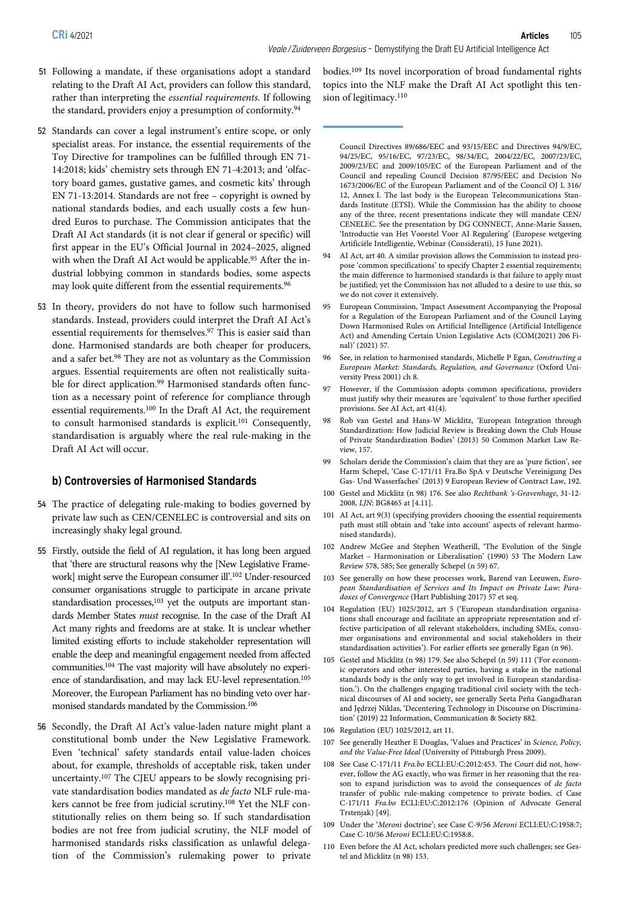- 51 Following a mandate, if these organisations adopt a standard relating to the Draft AI Act, providers can follow this standard, rather than interpreting the essential requirements. If following the standard, providers enjoy a presumption of conformity.<sup>94</sup>
- 52 Standards can cover a legal instrument's entire scope, or only specialist areas. For instance, the essential requirements of the Toy Directive for trampolines can be fulfilled through EN 71- 14:2018; kids' chemistry sets through EN 71-4:2013; and 'olfactory board games, gustative games, and cosmetic kits' through EN 71-13:2014. Standards are not free – copyright is owned by national standards bodies, and each usually costs a few hundred Euros to purchase. The Commission anticipates that the Draft AI Act standards (it is not clear if general or specific) will first appear in the EU's Official Journal in 2024–2025, aligned with when the Draft AI Act would be applicable.<sup>95</sup> After the industrial lobbying common in standards bodies, some aspects may look quite different from the essential requirements.<sup>96</sup>
- 53 In theory, providers do not have to follow such harmonised standards. Instead, providers could interpret the Draft AI Act's essential requirements for themselves.97 This is easier said than done. Harmonised standards are both cheaper for producers, and a safer bet.98 They are not as voluntary as the Commission argues. Essential requirements are often not realistically suitable for direct application.<sup>99</sup> Harmonised standards often function as a necessary point of reference for compliance through essential requirements.100 In the Draft AI Act, the requirement to consult harmonised standards is explicit.101 Consequently, standardisation is arguably where the real rule-making in the Draft AI Act will occur.

#### b) Controversies of Harmonised Standards

- 54 The practice of delegating rule-making to bodies governed by private law such as CEN/CENELEC is controversial and sits on increasingly shaky legal ground.
- 55 Firstly, outside the field of AI regulation, it has long been argued that 'there are structural reasons why the [New Legislative Framework] might serve the European consumer ill'. <sup>102</sup> Under-resourced consumer organisations struggle to participate in arcane private standardisation processes,<sup>103</sup> yet the outputs are important standards Member States must recognise. In the case of the Draft AI Act many rights and freedoms are at stake. It is unclear whether limited existing efforts to include stakeholder representation will enable the deep and meaningful engagement needed from affected communities.104 The vast majority will have absolutely no experience of standardisation, and may lack EU-level representation.<sup>105</sup> Moreover, the European Parliament has no binding veto over harmonised standards mandated by the Commission.106
- 56 Secondly, the Draft AI Act's value-laden nature might plant a constitutional bomb under the New Legislative Framework. Even 'technical' safety standards entail value-laden choices about, for example, thresholds of acceptable risk, taken under uncertainty.107 The CJEU appears to be slowly recognising private standardisation bodies mandated as de facto NLF rule-makers cannot be free from judicial scrutiny.108 Yet the NLF constitutionally relies on them being so. If such standardisation bodies are not free from judicial scrutiny, the NLF model of harmonised standards risks classification as unlawful delegation of the Commission's rulemaking power to private

bodies.109 Its novel incorporation of broad fundamental rights topics into the NLF make the Draft AI Act spotlight this tension of legitimacy.<sup>110</sup>

Council Directives 89/686/EEC and 93/15/EEC and Directives 94/9/EC, 94/25/EC, 95/16/EC, 97/23/EC, 98/34/EC, 2004/22/EC, 2007/23/EC, 2009/23/EC and 2009/105/EC of the European Parliament and of the Council and repealing Council Decision 87/95/EEC and Decision No 1673/2006/EC of the European Parliament and of the Council OJ L 316/ 12, Annex I. The last body is the European Telecommunications Standards Institute (ETSI). While the Commission has the ability to choose any of the three, recent presentations indicate they will mandate CEN/ CENELEC. See the presentation by DG CONNECT, Anne-Marie Sassen, 'Introductie van Het Voorstel Voor AI Regulering' (Europese wetgeving Artificiële Intelligentie, Webinar (Considerati), 15 June 2021).

- 94 AI Act, art 40. A similar provision allows the Commission to instead propose 'common specifications' to specify Chapter 2 essential requirements; the main difference to harmonised standards is that failure to apply must be justified; yet the Commission has not alluded to a desire to use this, so we do not cover it extensively.
- 95 European Commission, 'Impact Assessment Accompanying the Proposal for a Regulation of the European Parliament and of the Council Laying Down Harmonised Rules on Artificial Intelligence (Artificial Intelligence Act) and Amending Certain Union Legislative Acts (COM(2021) 206 Final)' (2021) 57.
- 96 See, in relation to harmonised standards, Michelle P Egan, Constructing a European Market: Standards, Regulation, and Governance (Oxford University Press 2001) ch 8.
- 97 However, if the Commission adopts common specifications, providers must justify why their measures are 'equivalent' to those further specified provisions. See AI Act, art 41(4).
- Rob van Gestel and Hans-W Micklitz, 'European Integration through Standardization: How Judicial Review is Breaking down the Club House of Private Standardization Bodies' (2013) 50 Common Market Law Review, 157.
- 99 Scholars deride the Commission's claim that they are as 'pure fiction', see Harm Schepel, 'Case C-171/11 Fra.Bo SpA v Deutsche Vereinigung Des Gas- Und Wasserfaches' (2013) 9 European Review of Contract Law, 192.
- 100 Gestel and Micklitz (n 98) 176. See also Rechtbank 's-Gravenhage, 31-12- 2008, LJN: BG8465 at [4.11].
- 101 AI Act, art 9(3) (specifying providers choosing the essential requirements path must still obtain and 'take into account' aspects of relevant harmonised standards).
- 102 Andrew McGee and Stephen Weatherill, 'The Evolution of the Single Market – Harmonisation or Liberalisation' (1990) 53 The Modern Law Review 578, 585; See generally Schepel (n 59) 67.
- 103 See generally on how these processes work, Barend van Leeuwen, European Standardisation of Services and Its Impact on Private Law: Paradoxes of Convergence (Hart Publishing 2017) 57 et seq.
- 104 Regulation (EU) 1025/2012, art 5 ('European standardisation organisations shall encourage and facilitate an appropriate representation and effective participation of all relevant stakeholders, including SMEs, consumer organisations and environmental and social stakeholders in their standardisation activities'). For earlier efforts see generally Egan (n 96).
- Gestel and Micklitz (n 98) 179. See also Schepel (n 59) 111 ('For economic operators and other interested parties, having a stake in the national standards body is the only way to get involved in European standardisation.'). On the challenges engaging traditional civil society with the technical discourses of AI and society, see generally Seeta Peña Gangadharan and Jędrzej Niklas, 'Decentering Technology in Discourse on Discrimination' (2019) 22 Information, Communication & Society 882.
- 106 Regulation (EU) 1025/2012, art 11.
- 107 See generally Heather E Douglas, 'Values and Practices' in Science, Policy, and the Value-Free Ideal (University of Pittsburgh Press 2009).
- 108 See Case C‑171/11 Fra.bo ECLI:EU:C:2012:453. The Court did not, however, follow the AG exactly, who was firmer in her reasoning that the reason to expand jurisdiction was to avoid the consequences of de facto transfer of public rule-making competence to private bodies. cf Case C‑171/11 Fra.bo ECLI:EU:C:2012:176 (Opinion of Advocate General Trstenjak) [49].
- 109 Under the 'Meroni doctrine'; see Case C-9/56 Meroni ECLI:EU:C:1958:7; Case C-10/56 Meroni ECLI:EU:C:1958:8.
- 110 Even before the AI Act, scholars predicted more such challenges; see Gestel and Micklitz (n 98) 153.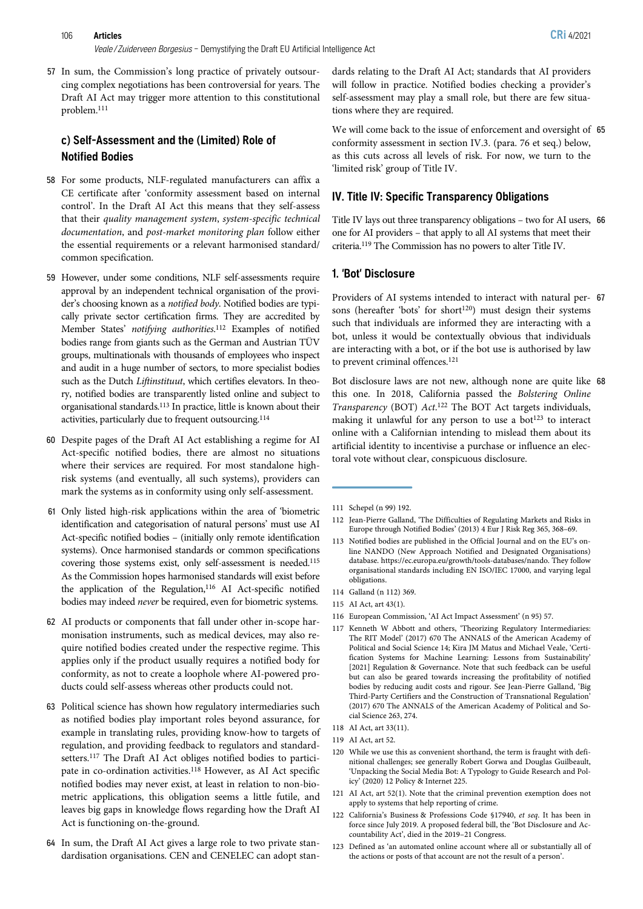57 In sum, the Commission's long practice of privately outsourcing complex negotiations has been controversial for years. The Draft AI Act may trigger more attention to this constitutional problem.111

# c) Self-Assessment and the (Limited) Role of Notified Bodies

- 58 For some products, NLF-regulated manufacturers can affix a CE certificate after 'conformity assessment based on internal control'. In the Draft AI Act this means that they self-assess that their quality management system, system-specific technical documentation, and post-market monitoring plan follow either the essential requirements or a relevant harmonised standard/ common specification.
- 59 However, under some conditions, NLF self-assessments require approval by an independent technical organisation of the provider's choosing known as a notified body. Notified bodies are typically private sector certification firms. They are accredited by Member States' notifying authorities.<sup>112</sup> Examples of notified bodies range from giants such as the German and Austrian TÜV groups, multinationals with thousands of employees who inspect and audit in a huge number of sectors, to more specialist bodies such as the Dutch Liftinstituut, which certifies elevators. In theory, notified bodies are transparently listed online and subject to organisational standards.113 In practice, little is known about their activities, particularly due to frequent outsourcing.114
- 60 Despite pages of the Draft AI Act establishing a regime for AI Act-specific notified bodies, there are almost no situations where their services are required. For most standalone highrisk systems (and eventually, all such systems), providers can mark the systems as in conformity using only self-assessment.
- 61 Only listed high-risk applications within the area of 'biometric identification and categorisation of natural persons' must use AI Act-specific notified bodies – (initially only remote identification systems). Once harmonised standards or common specifications covering those systems exist, only self-assessment is needed.115 As the Commission hopes harmonised standards will exist before the application of the Regulation,<sup>116</sup> AI Act-specific notified bodies may indeed never be required, even for biometric systems.
- 62 AI products or components that fall under other in-scope harmonisation instruments, such as medical devices, may also require notified bodies created under the respective regime. This applies only if the product usually requires a notified body for conformity, as not to create a loophole where AI-powered products could self-assess whereas other products could not.
- 63 Political science has shown how regulatory intermediaries such as notified bodies play important roles beyond assurance, for example in translating rules, providing know-how to targets of regulation, and providing feedback to regulators and standardsetters.117 The Draft AI Act obliges notified bodies to participate in co-ordination activities.118 However, as AI Act specific notified bodies may never exist, at least in relation to non-biometric applications, this obligation seems a little futile, and leaves big gaps in knowledge flows regarding how the Draft AI Act is functioning on-the-ground.
- 64 In sum, the Draft AI Act gives a large role to two private standardisation organisations. CEN and CENELEC can adopt stan-

dards relating to the Draft AI Act; standards that AI providers will follow in practice. Notified bodies checking a provider's self-assessment may play a small role, but there are few situations where they are required.

We will come back to the issue of enforcement and oversight of 65 conformity assessment in section IV.3. (para. 76 et seq.) below, as this cuts across all levels of risk. For now, we turn to the 'limited risk' group of Title IV.

# IV. Title IV: Specific Transparency Obligations

Title IV lays out three transparency obligations – two for AI users, 66 one for AI providers – that apply to all AI systems that meet their criteria.119 The Commission has no powers to alter Title IV.

# 1. 'Bot' Disclosure

Providers of AI systems intended to interact with natural per- 67 sons (hereafter 'bots' for short $120$ ) must design their systems such that individuals are informed they are interacting with a bot, unless it would be contextually obvious that individuals are interacting with a bot, or if the bot use is authorised by law to prevent criminal offences.121

Bot disclosure laws are not new, although none are quite like 68 this one. In 2018, California passed the Bolstering Online Transparency (BOT) Act. <sup>122</sup> The BOT Act targets individuals, making it unlawful for any person to use a bot<sup>123</sup> to interact online with a Californian intending to mislead them about its artificial identity to incentivise a purchase or influence an electoral vote without clear, conspicuous disclosure.

- 112 Jean-Pierre Galland, 'The Difficulties of Regulating Markets and Risks in Europe through Notified Bodies' (2013) 4 Eur J Risk Reg 365, 368–69.
- 113 Notified bodies are published in the Official Journal and on the EU's online NANDO (New Approach Notified and Designated Organisations) database. https://ec.europa.eu/growth/tools-databases/nando. They follow organisational standards including EN ISO/IEC 17000, and varying legal obligations.
- 114 Galland (n 112) 369.
- 115 AI Act, art 43(1).
- 116 European Commission, 'AI Act Impact Assessment' (n 95) 57.
- 117 Kenneth W Abbott and others, 'Theorizing Regulatory Intermediaries: The RIT Model' (2017) 670 The ANNALS of the American Academy of Political and Social Science 14; Kira JM Matus and Michael Veale, 'Certification Systems for Machine Learning: Lessons from Sustainability' [2021] Regulation & Governance. Note that such feedback can be useful but can also be geared towards increasing the profitability of notified bodies by reducing audit costs and rigour. See Jean-Pierre Galland, 'Big Third-Party Certifiers and the Construction of Transnational Regulation' (2017) 670 The ANNALS of the American Academy of Political and Social Science 263, 274.
- 118 AI Act, art 33(11).
- 119 AI Act, art 52.
- 120 While we use this as convenient shorthand, the term is fraught with definitional challenges; see generally Robert Gorwa and Douglas Guilbeault, 'Unpacking the Social Media Bot: A Typology to Guide Research and Policy' (2020) 12 Policy & Internet 225.
- 121 AI Act, art 52(1). Note that the criminal prevention exemption does not apply to systems that help reporting of crime.
- 122 California's Business & Professions Code §17940, et seq. It has been in force since July 2019. A proposed federal bill, the 'Bot Disclosure and Accountability Act', died in the 2019–21 Congress.
- 123 Defined as 'an automated online account where all or substantially all of the actions or posts of that account are not the result of a person'.

<sup>111</sup> Schepel (n 99) 192.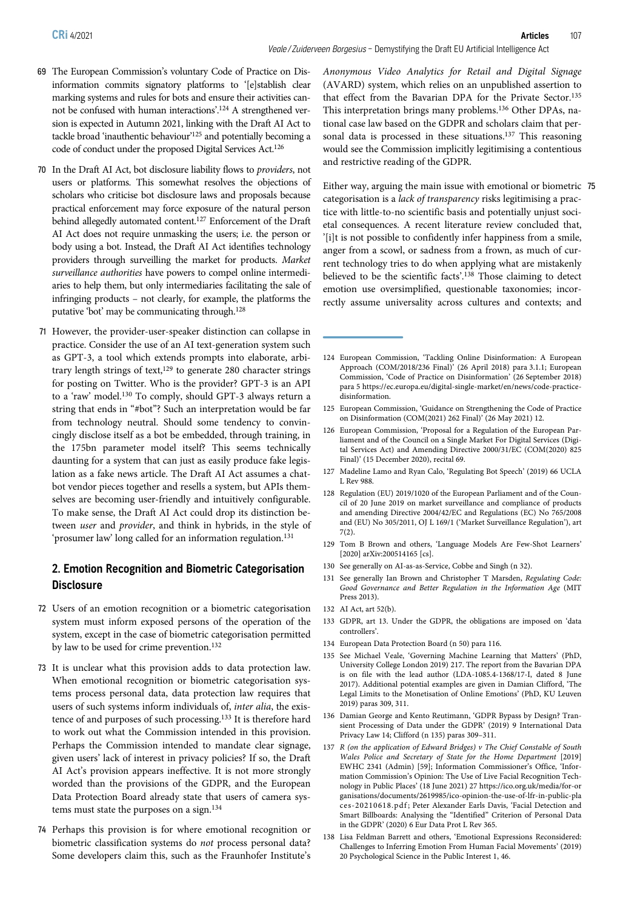- 69 The European Commission's voluntary Code of Practice on Disinformation commits signatory platforms to '[e]stablish clear marking systems and rules for bots and ensure their activities cannot be confused with human interactions'. <sup>124</sup> A strengthened version is expected in Autumn 2021, linking with the Draft AI Act to tackle broad 'inauthentic behaviour' <sup>125</sup> and potentially becoming a code of conduct under the proposed Digital Services Act.126
- 70 In the Draft AI Act, bot disclosure liability flows to providers, not users or platforms. This somewhat resolves the objections of scholars who criticise bot disclosure laws and proposals because practical enforcement may force exposure of the natural person behind allegedly automated content.127 Enforcement of the Draft AI Act does not require unmasking the users; i.e. the person or body using a bot. Instead, the Draft AI Act identifies technology providers through surveilling the market for products. Market surveillance authorities have powers to compel online intermediaries to help them, but only intermediaries facilitating the sale of infringing products – not clearly, for example, the platforms the putative 'bot' may be communicating through.128
- 71 However, the provider-user-speaker distinction can collapse in practice. Consider the use of an AI text-generation system such as GPT-3, a tool which extends prompts into elaborate, arbitrary length strings of text,<sup>129</sup> to generate 280 character strings for posting on Twitter. Who is the provider? GPT-3 is an API to a 'raw' model.130 To comply, should GPT-3 always return a string that ends in "#bot"? Such an interpretation would be far from technology neutral. Should some tendency to convincingly disclose itself as a bot be embedded, through training, in the 175bn parameter model itself? This seems technically daunting for a system that can just as easily produce fake legislation as a fake news article. The Draft AI Act assumes a chatbot vendor pieces together and resells a system, but APIs themselves are becoming user-friendly and intuitively configurable. To make sense, the Draft AI Act could drop its distinction between user and provider, and think in hybrids, in the style of 'prosumer law' long called for an information regulation.131

# 2. Emotion Recognition and Biometric Categorisation **Disclosure**

- 72 Users of an emotion recognition or a biometric categorisation system must inform exposed persons of the operation of the system, except in the case of biometric categorisation permitted by law to be used for crime prevention.<sup>132</sup>
- 73 It is unclear what this provision adds to data protection law. When emotional recognition or biometric categorisation systems process personal data, data protection law requires that users of such systems inform individuals of, inter alia, the existence of and purposes of such processing.133 It is therefore hard to work out what the Commission intended in this provision. Perhaps the Commission intended to mandate clear signage, given users' lack of interest in privacy policies? If so, the Draft AI Act's provision appears ineffective. It is not more strongly worded than the provisions of the GDPR, and the European Data Protection Board already state that users of camera systems must state the purposes on a sign.134
- 74 Perhaps this provision is for where emotional recognition or biometric classification systems do not process personal data? Some developers claim this, such as the Fraunhofer Institute's

Anonymous Video Analytics for Retail and Digital Signage (AVARD) system, which relies on an unpublished assertion to that effect from the Bavarian DPA for the Private Sector.135 This interpretation brings many problems.136 Other DPAs, national case law based on the GDPR and scholars claim that personal data is processed in these situations.<sup>137</sup> This reasoning would see the Commission implicitly legitimising a contentious and restrictive reading of the GDPR.

Either way, arguing the main issue with emotional or biometric 75 categorisation is a lack of transparency risks legitimising a practice with little-to-no scientific basis and potentially unjust societal consequences. A recent literature review concluded that, '[i]t is not possible to confidently infer happiness from a smile, anger from a scowl, or sadness from a frown, as much of current technology tries to do when applying what are mistakenly believed to be the scientific facts'. <sup>138</sup> Those claiming to detect emotion use oversimplified, questionable taxonomies; incorrectly assume universality across cultures and contexts; and

- 124 European Commission, 'Tackling Online Disinformation: A European Approach (COM/2018/236 Final)' (26 April 2018) para 3.1.1; European Commission, 'Code of Practice on Disinformation' (26 September 2018) para 5 https://ec.europa.eu/digital-single-market/en/news/code-practicedisinformation.
- 125 European Commission, 'Guidance on Strengthening the Code of Practice on Disinformation (COM(2021) 262 Final)' (26 May 2021) 12.
- 126 European Commission, 'Proposal for a Regulation of the European Parliament and of the Council on a Single Market For Digital Services (Digital Services Act) and Amending Directive 2000/31/EC (COM(2020) 825 Final)' (15 December 2020), recital 69.
- 127 Madeline Lamo and Ryan Calo, 'Regulating Bot Speech' (2019) 66 UCLA L Rev 988.
- 128 Regulation (EU) 2019/1020 of the European Parliament and of the Council of 20 June 2019 on market surveillance and compliance of products and amending Directive 2004/42/EC and Regulations (EC) No 765/2008 and (EU) No 305/2011, OJ L 169/1 ('Market Surveillance Regulation'), art 7(2).
- 129 Tom B Brown and others, 'Language Models Are Few-Shot Learners' [2020] arXiv:200514165 [cs].
- 130 See generally on AI-as-as-Service, Cobbe and Singh (n 32).
- 131 See generally Ian Brown and Christopher T Marsden, Regulating Code: Good Governance and Better Regulation in the Information Age (MIT Press 2013).
- 132 AI Act, art 52(b).
- 133 GDPR, art 13. Under the GDPR, the obligations are imposed on 'data controllers'.
- 134 European Data Protection Board (n 50) para 116.
- 135 See Michael Veale, 'Governing Machine Learning that Matters' (PhD, University College London 2019) 217. The report from the Bavarian DPA is on file with the lead author (LDA-1085.4-1368/17-I, dated 8 June 2017). Additional potential examples are given in Damian Clifford, 'The Legal Limits to the Monetisation of Online Emotions' (PhD, KU Leuven 2019) paras 309, 311.
- 136 Damian George and Kento Reutimann, 'GDPR Bypass by Design? Transient Processing of Data under the GDPR' (2019) 9 International Data Privacy Law 14; Clifford (n 135) paras 309–311.
- 137 R (on the application of Edward Bridges) v The Chief Constable of South Wales Police and Secretary of State for the Home Department [2019] EWHC 2341 (Admin) [59]; Information Commissioner's Office, 'Information Commission's Opinion: The Use of Live Facial Recognition Technology in Public Places' (18 June 2021) 27 https://ico.org.uk/media/for-or ganisations/documents/2619985/ico-opinion-the-use-of-lfr-in-public-pla ces-20210618.pdf; Peter Alexander Earls Davis, 'Facial Detection and Smart Billboards: Analysing the "Identified" Criterion of Personal Data in the GDPR' (2020) 6 Eur Data Prot L Rev 365.
- 138 Lisa Feldman Barrett and others, 'Emotional Expressions Reconsidered: Challenges to Inferring Emotion From Human Facial Movements' (2019) 20 Psychological Science in the Public Interest 1, 46.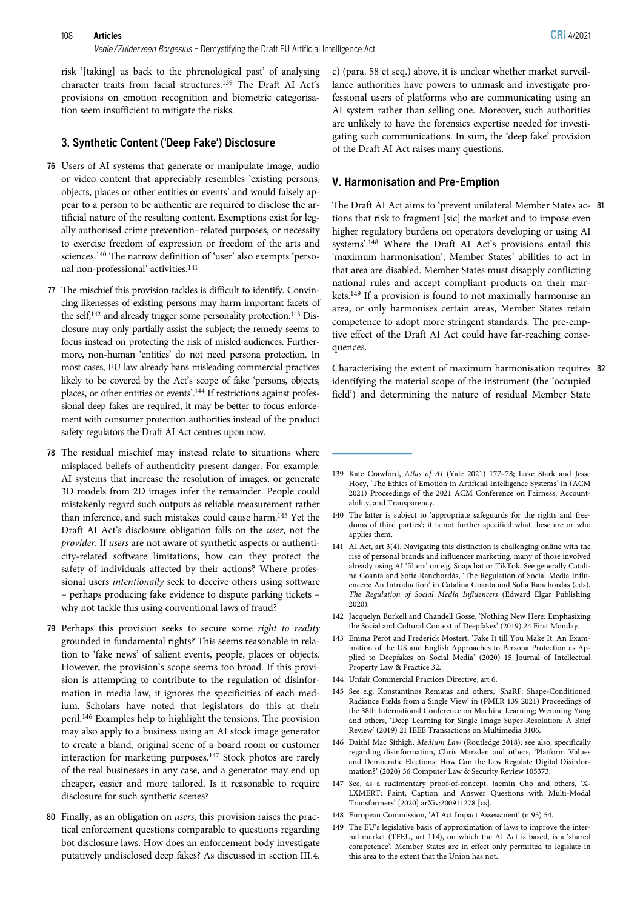#### 108 Articles CRi 4/2021

risk '[taking] us back to the phrenological past' of analysing character traits from facial structures.139 The Draft AI Act's provisions on emotion recognition and biometric categorisa-

#### 3. Synthetic Content ('Deep Fake') Disclosure

tion seem insufficient to mitigate the risks.

- 76 Users of AI systems that generate or manipulate image, audio or video content that appreciably resembles 'existing persons, objects, places or other entities or events' and would falsely appear to a person to be authentic are required to disclose the artificial nature of the resulting content. Exemptions exist for legally authorised crime prevention–related purposes, or necessity to exercise freedom of expression or freedom of the arts and sciences.140 The narrow definition of 'user' also exempts 'personal non-professional' activities.141
- 77 The mischief this provision tackles is difficult to identify. Convincing likenesses of existing persons may harm important facets of the self,<sup>142</sup> and already trigger some personality protection.<sup>143</sup> Disclosure may only partially assist the subject; the remedy seems to focus instead on protecting the risk of misled audiences. Furthermore, non-human 'entities' do not need persona protection. In most cases, EU law already bans misleading commercial practices likely to be covered by the Act's scope of fake 'persons, objects, places, or other entities or events'.<sup>144</sup> If restrictions against professional deep fakes are required, it may be better to focus enforcement with consumer protection authorities instead of the product safety regulators the Draft AI Act centres upon now.
- 78 The residual mischief may instead relate to situations where misplaced beliefs of authenticity present danger. For example, AI systems that increase the resolution of images, or generate 3D models from 2D images infer the remainder. People could mistakenly regard such outputs as reliable measurement rather than inference, and such mistakes could cause harm.145 Yet the Draft AI Act's disclosure obligation falls on the user, not the provider. If users are not aware of synthetic aspects or authenticity-related software limitations, how can they protect the safety of individuals affected by their actions? Where professional users intentionally seek to deceive others using software – perhaps producing fake evidence to dispute parking tickets – why not tackle this using conventional laws of fraud?
- 79 Perhaps this provision seeks to secure some right to reality grounded in fundamental rights? This seems reasonable in relation to 'fake news' of salient events, people, places or objects. However, the provision's scope seems too broad. If this provision is attempting to contribute to the regulation of disinformation in media law, it ignores the specificities of each medium. Scholars have noted that legislators do this at their peril.146 Examples help to highlight the tensions. The provision may also apply to a business using an AI stock image generator to create a bland, original scene of a board room or customer interaction for marketing purposes.147 Stock photos are rarely of the real businesses in any case, and a generator may end up cheaper, easier and more tailored. Is it reasonable to require disclosure for such synthetic scenes?
- 80 Finally, as an obligation on users, this provision raises the practical enforcement questions comparable to questions regarding bot disclosure laws. How does an enforcement body investigate putatively undisclosed deep fakes? As discussed in section III.4.

c) (para. 58 et seq.) above, it is unclear whether market surveillance authorities have powers to unmask and investigate professional users of platforms who are communicating using an AI system rather than selling one. Moreover, such authorities are unlikely to have the forensics expertise needed for investigating such communications. In sum, the 'deep fake' provision of the Draft AI Act raises many questions.

#### V. Harmonisation and Pre-Emption

The Draft AI Act aims to 'prevent unilateral Member States ac- 81 tions that risk to fragment [sic] the market and to impose even higher regulatory burdens on operators developing or using AI systems'. <sup>148</sup> Where the Draft AI Act's provisions entail this 'maximum harmonisation', Member States' abilities to act in that area are disabled. Member States must disapply conflicting national rules and accept compliant products on their markets.149 If a provision is found to not maximally harmonise an area, or only harmonises certain areas, Member States retain competence to adopt more stringent standards. The pre-emptive effect of the Draft AI Act could have far-reaching consequences.

Characterising the extent of maximum harmonisation requires 82 identifying the material scope of the instrument (the 'occupied field') and determining the nature of residual Member State

- 142 Jacquelyn Burkell and Chandell Gosse, 'Nothing New Here: Emphasizing the Social and Cultural Context of Deepfakes' (2019) 24 First Monday.
- 143 Emma Perot and Frederick Mostert, 'Fake It till You Make It: An Examination of the US and English Approaches to Persona Protection as Applied to Deepfakes on Social Media' (2020) 15 Journal of Intellectual Property Law & Practice 32.
- 144 Unfair Commercial Practices Directive, art 6.
- 145 See e.g. Konstantinos Rematas and others, 'ShaRF: Shape-Conditioned Radiance Fields from a Single View' in (PMLR 139 2021) Proceedings of the 38th International Conference on Machine Learning; Wenming Yang and others, 'Deep Learning for Single Image Super-Resolution: A Brief Review' (2019) 21 IEEE Transactions on Multimedia 3106.
- 146 Daithí Mac Síthigh, Medium Law (Routledge 2018); see also, specifically regarding disinformation, Chris Marsden and others, 'Platform Values and Democratic Elections: How Can the Law Regulate Digital Disinformation?' (2020) 36 Computer Law & Security Review 105373.
- 147 See, as a rudimentary proof-of-concept, Jaemin Cho and others, 'X-LXMERT: Paint, Caption and Answer Questions with Multi-Modal Transformers' [2020] arXiv:200911278 [cs].
- 148 European Commission, 'AI Act Impact Assessment' (n 95) 54.
- 149 The EU's legislative basis of approximation of laws to improve the internal market (TFEU, art 114), on which the AI Act is based, is a 'shared competence'. Member States are in effect only permitted to legislate in this area to the extent that the Union has not.

<sup>139</sup> Kate Crawford, Atlas of AI (Yale 2021) 177–78; Luke Stark and Jesse Hoey, 'The Ethics of Emotion in Artificial Intelligence Systems' in (ACM 2021) Proceedings of the 2021 ACM Conference on Fairness, Accountability, and Transparency.

<sup>140</sup> The latter is subject to 'appropriate safeguards for the rights and freedoms of third parties'; it is not further specified what these are or who applies them.

<sup>141</sup> AI Act, art 3(4). Navigating this distinction is challenging online with the rise of personal brands and influencer marketing, many of those involved already using AI 'filters' on e.g. Snapchat or TikTok. See generally Catalina Goanta and Sofia Ranchordás, 'The Regulation of Social Media Influencers: An Introduction' in Catalina Goanta and Sofia Ranchordás (eds), The Regulation of Social Media Influencers (Edward Elgar Publishing 2020).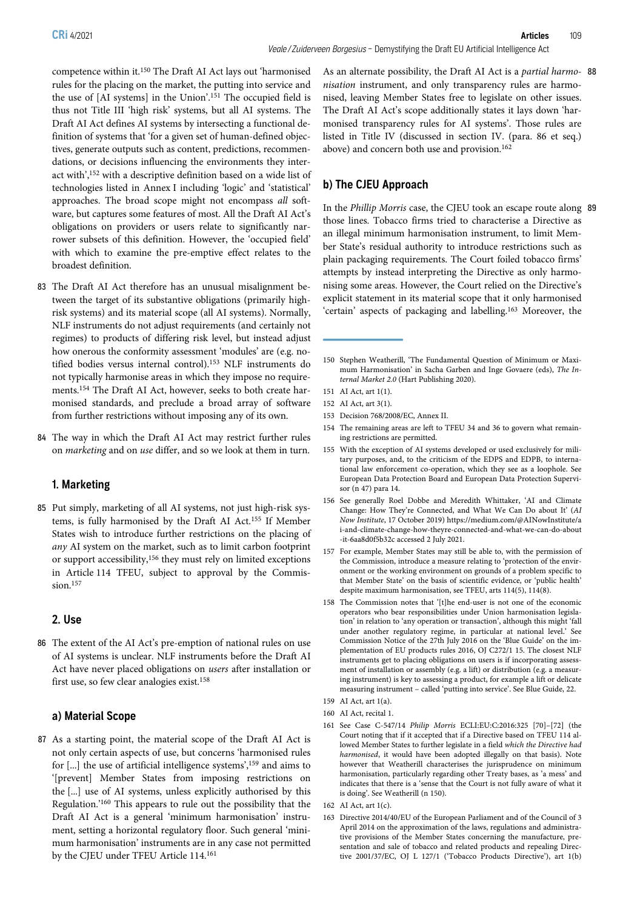competence within it.150 The Draft AI Act lays out 'harmonised rules for the placing on the market, the putting into service and the use of [AI systems] in the Union'. <sup>151</sup> The occupied field is thus not Title III 'high risk' systems, but all AI systems. The Draft AI Act defines AI systems by intersecting a functional definition of systems that 'for a given set of human-defined objectives, generate outputs such as content, predictions, recommendations, or decisions influencing the environments they interact with', <sup>152</sup> with a descriptive definition based on a wide list of technologies listed in Annex I including 'logic' and 'statistical' approaches. The broad scope might not encompass all software, but captures some features of most. All the Draft AI Act's obligations on providers or users relate to significantly narrower subsets of this definition. However, the 'occupied field' with which to examine the pre-emptive effect relates to the broadest definition.

- 83 The Draft AI Act therefore has an unusual misalignment between the target of its substantive obligations (primarily highrisk systems) and its material scope (all AI systems). Normally, NLF instruments do not adjust requirements (and certainly not regimes) to products of differing risk level, but instead adjust how onerous the conformity assessment 'modules' are (e.g. notified bodies versus internal control).153 NLF instruments do not typically harmonise areas in which they impose no requirements.154 The Draft AI Act, however, seeks to both create harmonised standards, and preclude a broad array of software from further restrictions without imposing any of its own.
- 84 The way in which the Draft AI Act may restrict further rules on marketing and on use differ, and so we look at them in turn.

#### 1. Marketing

85 Put simply, marketing of all AI systems, not just high-risk systems, is fully harmonised by the Draft AI Act.155 If Member States wish to introduce further restrictions on the placing of any AI system on the market, such as to limit carbon footprint or support accessibility,156 they must rely on limited exceptions in Article 114 TFEU, subject to approval by the Commission.<sup>157</sup>

### 2. Use

86 The extent of the AI Act's pre-emption of national rules on use of AI systems is unclear. NLF instruments before the Draft AI Act have never placed obligations on users after installation or first use, so few clear analogies exist.158

#### a) Material Scope

87 As a starting point, the material scope of the Draft AI Act is not only certain aspects of use, but concerns 'harmonised rules for [...] the use of artificial intelligence systems', <sup>159</sup> and aims to '[prevent] Member States from imposing restrictions on the [...] use of AI systems, unless explicitly authorised by this Regulation.' <sup>160</sup> This appears to rule out the possibility that the Draft AI Act is a general 'minimum harmonisation' instrument, setting a horizontal regulatory floor. Such general 'minimum harmonisation' instruments are in any case not permitted by the CJEU under TFEU Article 114.161

As an alternate possibility, the Draft AI Act is a partial harmo- 88 nisation instrument, and only transparency rules are harmonised, leaving Member States free to legislate on other issues. The Draft AI Act's scope additionally states it lays down 'harmonised transparency rules for AI systems'. Those rules are listed in Title IV (discussed in section IV. (para. 86 et seq.) above) and concern both use and provision.<sup>162</sup>

# b) The CJEU Approach

In the Phillip Morris case, the CJEU took an escape route along 89 those lines. Tobacco firms tried to characterise a Directive as an illegal minimum harmonisation instrument, to limit Member State's residual authority to introduce restrictions such as plain packaging requirements. The Court foiled tobacco firms' attempts by instead interpreting the Directive as only harmonising some areas. However, the Court relied on the Directive's explicit statement in its material scope that it only harmonised 'certain' aspects of packaging and labelling.163 Moreover, the

- 152 AI Act, art 3(1).
- 153 Decision 768/2008/EC, Annex II.
- 154 The remaining areas are left to TFEU 34 and 36 to govern what remaining restrictions are permitted.
- 155 With the exception of AI systems developed or used exclusively for military purposes, and, to the criticism of the EDPS and EDPB, to international law enforcement co-operation, which they see as a loophole. See European Data Protection Board and European Data Protection Supervisor (n 47) para 14.
- 156 See generally Roel Dobbe and Meredith Whittaker, 'AI and Climate Change: How They're Connected, and What We Can Do about It' (AI Now Institute, 17 October 2019) https://medium.com/@AINowInstitute/a i-and-climate-change-how-theyre-connected-and-what-we-can-do-about -it-6aa8d0f5b32c accessed 2 July 2021.
- 157 For example, Member States may still be able to, with the permission of the Commission, introduce a measure relating to 'protection of the environment or the working environment on grounds of a problem specific to that Member State' on the basis of scientific evidence, or 'public health' despite maximum harmonisation, see TFEU, arts 114(5), 114(8).
- 158 The Commission notes that '[t]he end-user is not one of the economic operators who bear responsibilities under Union harmonisation legislation' in relation to 'any operation or transaction', although this might 'fall under another regulatory regime, in particular at national level.' See Commission Notice of the 27th July 2016 on the 'Blue Guide' on the implementation of EU products rules 2016, OJ C272/1 15. The closest NLF instruments get to placing obligations on users is if incorporating assessment of installation or assembly (e.g. a lift) or distribution (e.g. a measuring instrument) is key to assessing a product, for example a lift or delicate measuring instrument – called 'putting into service'. See Blue Guide, 22.
- 159 AI Act, art 1(a).
- 160 AI Act, recital 1.
- 161 See Case C‑547/14 Philip Morris ECLI:EU:C:2016:325 [70]–[72] (the Court noting that if it accepted that if a Directive based on TFEU 114 allowed Member States to further legislate in a field which the Directive had harmonised, it would have been adopted illegally on that basis). Note however that Weatherill characterises the jurisprudence on minimum harmonisation, particularly regarding other Treaty bases, as 'a mess' and indicates that there is a 'sense that the Court is not fully aware of what it is doing'. See Weatherill (n 150).
- 162 AI Act, art 1(c).
- 163 Directive 2014/40/EU of the European Parliament and of the Council of 3 April 2014 on the approximation of the laws, regulations and administrative provisions of the Member States concerning the manufacture, presentation and sale of tobacco and related products and repealing Directive 2001/37/EC, OJ L 127/1 ('Tobacco Products Directive'), art 1(b)

<sup>150</sup> Stephen Weatherill, 'The Fundamental Question of Minimum or Maximum Harmonisation' in Sacha Garben and Inge Govaere (eds), The Internal Market 2.0 (Hart Publishing 2020).

<sup>151</sup> AI Act, art 1(1).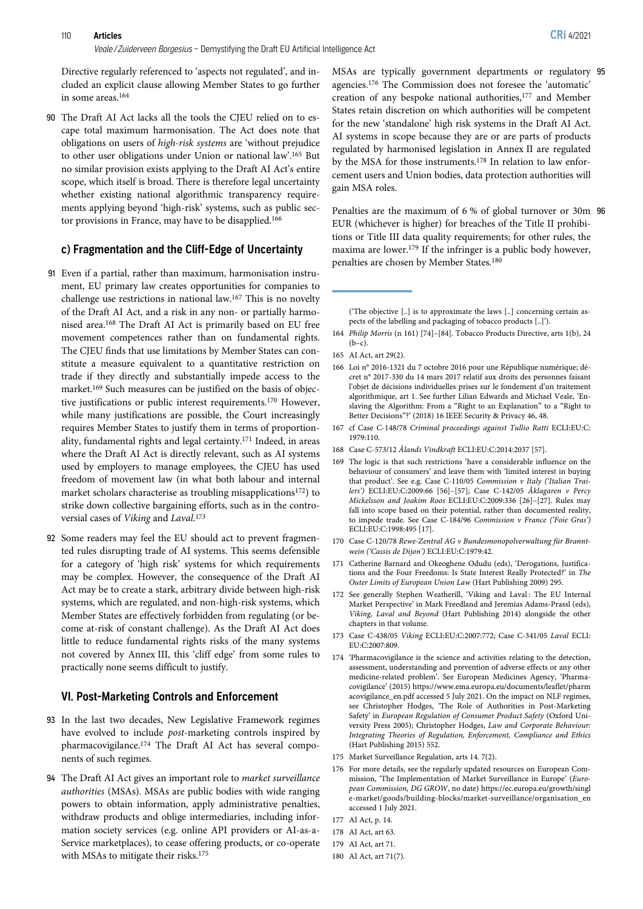Directive regularly referenced to 'aspects not regulated', and included an explicit clause allowing Member States to go further in some areas.164

90 The Draft AI Act lacks all the tools the CJEU relied on to escape total maximum harmonisation. The Act does note that obligations on users of high-risk systems are 'without prejudice to other user obligations under Union or national law'. <sup>165</sup> But no similar provision exists applying to the Draft AI Act's entire scope, which itself is broad. There is therefore legal uncertainty whether existing national algorithmic transparency requirements applying beyond 'high-risk' systems, such as public sector provisions in France, may have to be disapplied.166

#### c) Fragmentation and the Cliff-Edge of Uncertainty

- 91 Even if a partial, rather than maximum, harmonisation instrument, EU primary law creates opportunities for companies to challenge use restrictions in national law.167 This is no novelty of the Draft AI Act, and a risk in any non- or partially harmonised area.168 The Draft AI Act is primarily based on EU free movement competences rather than on fundamental rights. The CJEU finds that use limitations by Member States can constitute a measure equivalent to a quantitative restriction on trade if they directly and substantially impede access to the market.169 Such measures can be justified on the basis of objective justifications or public interest requirements.170 However, while many justifications are possible, the Court increasingly requires Member States to justify them in terms of proportionality, fundamental rights and legal certainty.171 Indeed, in areas where the Draft AI Act is directly relevant, such as AI systems used by employers to manage employees, the CJEU has used freedom of movement law (in what both labour and internal market scholars characterise as troubling misapplications172) to strike down collective bargaining efforts, such as in the controversial cases of Viking and Laval. 173
- 92 Some readers may feel the EU should act to prevent fragmented rules disrupting trade of AI systems. This seems defensible for a category of 'high risk' systems for which requirements may be complex. However, the consequence of the Draft AI Act may be to create a stark, arbitrary divide between high-risk systems, which are regulated, and non-high-risk systems, which Member States are effectively forbidden from regulating (or become at-risk of constant challenge). As the Draft AI Act does little to reduce fundamental rights risks of the many systems not covered by Annex III, this 'cliff edge' from some rules to practically none seems difficult to justify.

#### VI. Post-Marketing Controls and Enforcement

- 93 In the last two decades, New Legislative Framework regimes have evolved to include post-marketing controls inspired by pharmacovigilance.174 The Draft AI Act has several components of such regimes.
- 94 The Draft AI Act gives an important role to market surveillance authorities (MSAs). MSAs are public bodies with wide ranging powers to obtain information, apply administrative penalties, withdraw products and oblige intermediaries, including information society services (e.g. online API providers or AI-as-a-Service marketplaces), to cease offering products, or co-operate with MSAs to mitigate their risks.175

MSAs are typically government departments or regulatory 95 agencies.176 The Commission does not foresee the 'automatic' creation of any bespoke national authorities,<sup>177</sup> and Member States retain discretion on which authorities will be competent for the new 'standalone' high risk systems in the Draft AI Act. AI systems in scope because they are or are parts of products regulated by harmonised legislation in Annex II are regulated by the MSA for those instruments.<sup>178</sup> In relation to law enforcement users and Union bodies, data protection authorities will gain MSA roles.

Penalties are the maximum of 6 % of global turnover or 30m 96 EUR (whichever is higher) for breaches of the Title II prohibitions or Title III data quality requirements; for other rules, the maxima are lower.179 If the infringer is a public body however, penalties are chosen by Member States.180

('The objective [..] is to approximate the laws [..] concerning certain aspects of the labelling and packaging of tobacco products [..]').

164 Philip Morris (n 161) [74]–[84]. Tobacco Products Directive, arts 1(b), 24  $(b-c)$ .

- 166 Loi n° 2016-1321 du 7 octobre 2016 pour une République numérique; décret n° 2017-330 du 14 mars 2017 relatif aux droits des personnes faisant l'objet de décisions individuelles prises sur le fondement d'un traitement algorithmique, art 1. See further Lilian Edwards and Michael Veale, 'Enslaving the Algorithm: From a "Right to an Explanation" to a "Right to Better Decisions"?' (2018) 16 IEEE Security & Privacy 46, 48.
- 167 cf Case C-148/78 Criminal proceedings against Tullio Ratti ECLI:EU:C: 1979:110.
- 168 Case C-573/12 Ålands Vindkraft ECLI:EU:C:2014:2037 [57].
- 169 The logic is that such restrictions 'have a considerable influence on the behaviour of consumers' and leave them with 'limited interest in buying that product'. See e.g. Case C-110/05 Commission v Italy ('Italian Trailers') ECLI:EU:C:2009:66 [56]–[57]; Case C-142/05 Åklagaren v Percy Mickelsson and Joakim Roos ECLI:EU:C:2009:336 [26]–[27]. Rules may fall into scope based on their potential, rather than documented reality, to impede trade. See Case C-184/96 Commission v France ('Foie Gras') ECLI:EU:C:1998:495 [17].
- 170 Case C-120/78 Rewe-Zentral AG v Bundesmonopolverwaltung für Branntwein ('Cassis de Dijon') ECLI:EU:C:1979:42.
- 171 Catherine Barnard and Okeoghene Odudu (eds), 'Derogations, Justifications and the Four Freedoms: Is State Interest Really Protected?' in The Outer Limits of European Union Law (Hart Publishing 2009) 295.
- 172 See generally Stephen Weatherill, 'Viking and Laval : The EU Internal Market Perspective' in Mark Freedland and Jeremias Adams-Prassl (eds), Viking, Laval and Beyond (Hart Publishing 2014) alongside the other chapters in that volume.
- 173 Case C-438/05 Viking ECLI:EU:C:2007:772; Case C-341/05 Laval ECLI: EU:C:2007:809.
- 174 'Pharmacovigilance is the science and activities relating to the detection, assessment, understanding and prevention of adverse effects or any other medicine-related problem'. See European Medicines Agency, 'Pharmacovigilance' (2015) https://www.ema.europa.eu/documents/leaflet/pharm acovigilance\_en.pdf accessed 5 July 2021. On the impact on NLF regimes, see Christopher Hodges, 'The Role of Authorities in Post-Marketing Safety' in European Regulation of Consumer Product Safety (Oxford University Press 2005); Christopher Hodges, Law and Corporate Behaviour: Integrating Theories of Regulation, Enforcement, Compliance and Ethics (Hart Publishing 2015) 552.
- 175 Market Surveillance Regulation, arts 14. 7(2).
- 176 For more details, see the regularly updated resources on European Commission, 'The Implementation of Market Surveillance in Europe' (European Commission, DG GROW, no date) https://ec.europa.eu/growth/singl e-market/goods/building-blocks/market-surveillance/organisation\_en accessed 1 July 2021.

178 AI Act, art 63.

180 AI Act, art 71(7).

<sup>165</sup> AI Act, art 29(2).

<sup>177</sup> AI Act, p. 14.

<sup>179</sup> AI Act, art 71.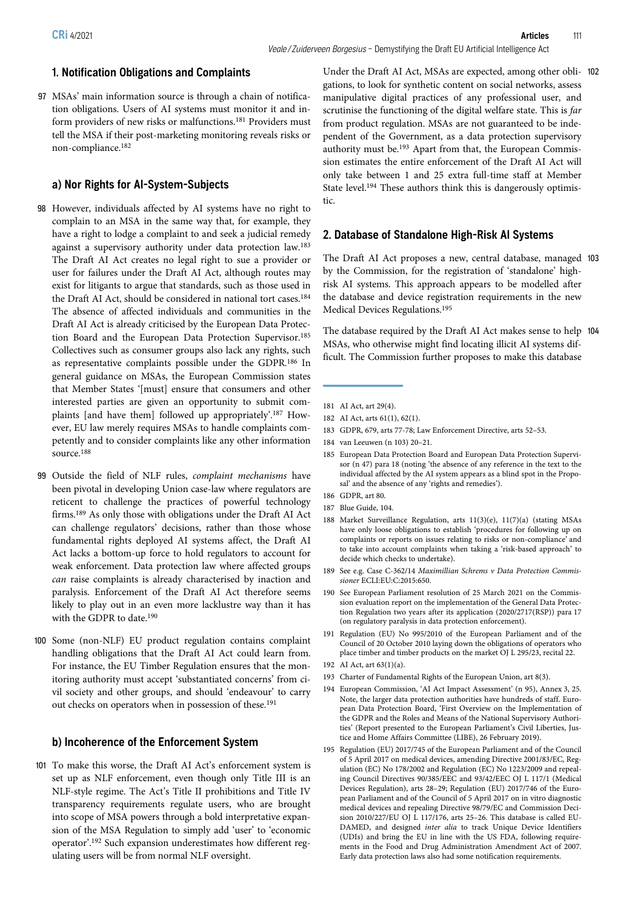97 MSAs' main information source is through a chain of notification obligations. Users of AI systems must monitor it and inform providers of new risks or malfunctions.181 Providers must tell the MSA if their post-marketing monitoring reveals risks or non-compliance.182

# a) Nor Rights for AI-System-Subjects

- 98 However, individuals affected by AI systems have no right to complain to an MSA in the same way that, for example, they have a right to lodge a complaint to and seek a judicial remedy against a supervisory authority under data protection law.183 The Draft AI Act creates no legal right to sue a provider or user for failures under the Draft AI Act, although routes may exist for litigants to argue that standards, such as those used in the Draft AI Act, should be considered in national tort cases.<sup>184</sup> The absence of affected individuals and communities in the Draft AI Act is already criticised by the European Data Protection Board and the European Data Protection Supervisor.185 Collectives such as consumer groups also lack any rights, such as representative complaints possible under the GDPR.186 In general guidance on MSAs, the European Commission states that Member States '[must] ensure that consumers and other interested parties are given an opportunity to submit complaints [and have them] followed up appropriately'. <sup>187</sup> However, EU law merely requires MSAs to handle complaints competently and to consider complaints like any other information source.188
- 99 Outside the field of NLF rules, complaint mechanisms have been pivotal in developing Union case-law where regulators are reticent to challenge the practices of powerful technology firms.189 As only those with obligations under the Draft AI Act can challenge regulators' decisions, rather than those whose fundamental rights deployed AI systems affect, the Draft AI Act lacks a bottom-up force to hold regulators to account for weak enforcement. Data protection law where affected groups can raise complaints is already characterised by inaction and paralysis. Enforcement of the Draft AI Act therefore seems likely to play out in an even more lacklustre way than it has with the GDPR to date.190
- 100 Some (non-NLF) EU product regulation contains complaint handling obligations that the Draft AI Act could learn from. For instance, the EU Timber Regulation ensures that the monitoring authority must accept 'substantiated concerns' from civil society and other groups, and should 'endeavour' to carry out checks on operators when in possession of these.191

#### b) Incoherence of the Enforcement System

101 To make this worse, the Draft AI Act's enforcement system is set up as NLF enforcement, even though only Title III is an NLF-style regime. The Act's Title II prohibitions and Title IV transparency requirements regulate users, who are brought into scope of MSA powers through a bold interpretative expansion of the MSA Regulation to simply add 'user' to 'economic operator'. <sup>192</sup> Such expansion underestimates how different regulating users will be from normal NLF oversight.

Under the Draft AI Act, MSAs are expected, among other obli- 102 gations, to look for synthetic content on social networks, assess manipulative digital practices of any professional user, and scrutinise the functioning of the digital welfare state. This is far from product regulation. MSAs are not guaranteed to be independent of the Government, as a data protection supervisory authority must be.193 Apart from that, the European Commission estimates the entire enforcement of the Draft AI Act will only take between 1 and 25 extra full-time staff at Member State level.<sup>194</sup> These authors think this is dangerously optimistic.

#### 2. Database of Standalone High-Risk AI Systems

The Draft AI Act proposes a new, central database, managed 103 by the Commission, for the registration of 'standalone' highrisk AI systems. This approach appears to be modelled after the database and device registration requirements in the new Medical Devices Regulations.195

The database required by the Draft AI Act makes sense to help 104 MSAs, who otherwise might find locating illicit AI systems difficult. The Commission further proposes to make this database

- 183 GDPR, 679, arts 77-78; Law Enforcement Directive, arts 52–53.
- 184 van Leeuwen (n 103) 20–21.
- 185 European Data Protection Board and European Data Protection Supervisor (n 47) para 18 (noting 'the absence of any reference in the text to the individual affected by the AI system appears as a blind spot in the Proposal' and the absence of any 'rights and remedies').
- 186 GDPR, art 80.
- 187 Blue Guide, 104.
- 188 Market Surveillance Regulation, arts 11(3)(e), 11(7)(a) (stating MSAs have only loose obligations to establish 'procedures for following up on complaints or reports on issues relating to risks or non-compliance' and to take into account complaints when taking a 'risk-based approach' to decide which checks to undertake).
- 189 See e.g. Case C-362/14 Maximillian Schrems v Data Protection Commissioner ECLI:EU:C:2015:650.
- 190 See European Parliament resolution of 25 March 2021 on the Commission evaluation report on the implementation of the General Data Protection Regulation two years after its application (2020/2717(RSP)) para 17 (on regulatory paralysis in data protection enforcement).
- 191 Regulation (EU) No 995/2010 of the European Parliament and of the Council of 20 October 2010 laying down the obligations of operators who place timber and timber products on the market OJ L 295/23, recital 22.
- 192 AI Act, art 63(1)(a).
- 193 Charter of Fundamental Rights of the European Union, art 8(3).
- 194 European Commission, 'AI Act Impact Assessment' (n 95), Annex 3, 25. Note, the larger data protection authorities have hundreds of staff. European Data Protection Board, 'First Overview on the Implementation of the GDPR and the Roles and Means of the National Supervisory Authorities' (Report presented to the European Parliament's Civil Liberties, Justice and Home Affairs Committee (LIBE), 26 February 2019).
- 195 Regulation (EU) 2017/745 of the European Parliament and of the Council of 5 April 2017 on medical devices, amending Directive 2001/83/EC, Regulation (EC) No 178/2002 and Regulation (EC) No 1223/2009 and repealing Council Directives 90/385/EEC and 93/42/EEC OJ L 117/1 (Medical Devices Regulation), arts 28–29; Regulation (EU) 2017/746 of the European Parliament and of the Council of 5 April 2017 on in vitro diagnostic medical devices and repealing Directive 98/79/EC and Commission Decision 2010/227/EU OJ L 117/176, arts 25–26. This database is called EU-DAMED, and designed inter alia to track Unique Device Identifiers (UDIs) and bring the EU in line with the US FDA, following requirements in the Food and Drug Administration Amendment Act of 2007. Early data protection laws also had some notification requirements.

<sup>181</sup> AI Act, art 29(4).

<sup>182</sup> AI Act, arts 61(1), 62(1).